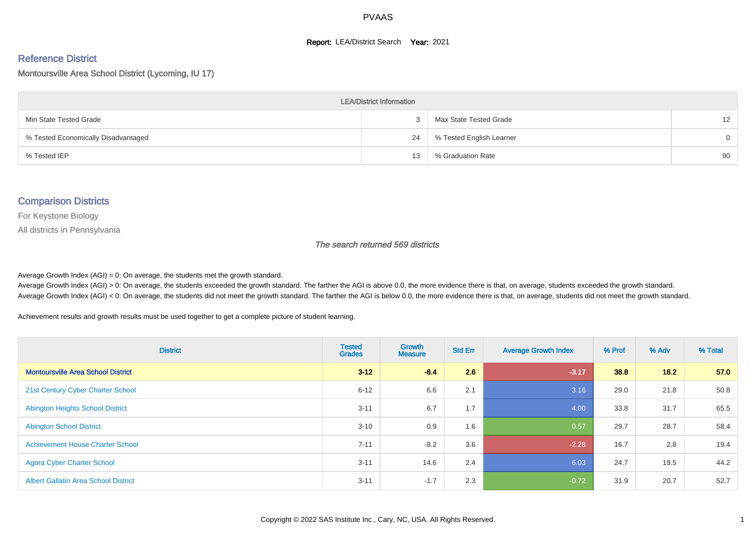#### **Report: LEA/District Search Year: 2021**

#### Reference District

#### Montoursville Area School District (Lycoming, IU 17)

| <b>LEA/District Information</b>     |    |                          |                   |  |  |  |  |  |  |  |
|-------------------------------------|----|--------------------------|-------------------|--|--|--|--|--|--|--|
| Min State Tested Grade              | 3  | Max State Tested Grade   | $12 \overline{ }$ |  |  |  |  |  |  |  |
| % Tested Economically Disadvantaged | 24 | % Tested English Learner | $\Omega$          |  |  |  |  |  |  |  |
| % Tested IEP                        | 13 | % Graduation Rate        | 90                |  |  |  |  |  |  |  |

#### Comparison Districts

For Keystone Biology

All districts in Pennsylvania

The search returned 569 districts

Average Growth Index  $(AGI) = 0$ : On average, the students met the growth standard.

Average Growth Index (AGI) > 0: On average, the students exceeded the growth standard. The farther the AGI is above 0.0, the more evidence there is that, on average, students exceeded the growth standard. Average Growth Index (AGI) < 0: On average, the students did not meet the growth standard. The farther the AGI is below 0.0, the more evidence there is that, on average, students did not meet the growth standard.

Achievement results and growth results must be used together to get a complete picture of student learning.

| <b>District</b>                             | <b>Tested</b><br><b>Grades</b> | <b>Growth</b><br><b>Measure</b> | <b>Std Err</b> | <b>Average Growth Index</b> | % Prof | % Adv | % Total |
|---------------------------------------------|--------------------------------|---------------------------------|----------------|-----------------------------|--------|-------|---------|
| <b>Montoursville Area School District</b>   | $3 - 12$                       | $-8.4$                          | 2.6            | $-3.17$                     | 38.8   | 18.2  | 57.0    |
| 21st Century Cyber Charter School           | $6 - 12$                       | 6.6                             | 2.1            | 3.16                        | 29.0   | 21.8  | 50.8    |
| <b>Abington Heights School District</b>     | $3 - 11$                       | 6.7                             | 1.7            | 4.00                        | 33.8   | 31.7  | 65.5    |
| <b>Abington School District</b>             | $3 - 10$                       | 0.9                             | 1.6            | 0.57                        | 29.7   | 28.7  | 58.4    |
| <b>Achievement House Charter School</b>     | $7 - 11$                       | $-8.2$                          | 3.6            | $-2.28$                     | 16.7   | 2.8   | 19.4    |
| <b>Agora Cyber Charter School</b>           | $3 - 11$                       | 14.6                            | 2.4            | 6.03                        | 24.7   | 19.5  | 44.2    |
| <b>Albert Gallatin Area School District</b> | $3 - 11$                       | $-1.7$                          | 2.3            | $-0.72$                     | 31.9   | 20.7  | 52.7    |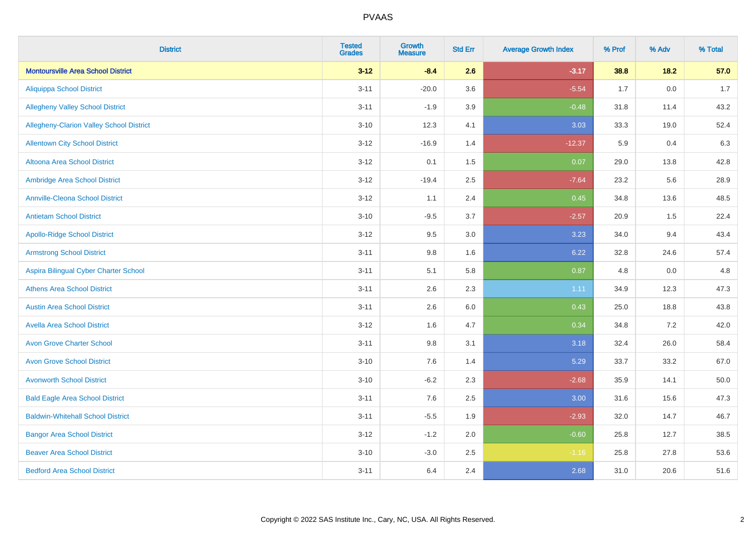| <b>District</b>                           | <b>Tested</b><br><b>Grades</b> | Growth<br><b>Measure</b> | <b>Std Err</b> | <b>Average Growth Index</b> | % Prof | % Adv   | % Total |
|-------------------------------------------|--------------------------------|--------------------------|----------------|-----------------------------|--------|---------|---------|
| <b>Montoursville Area School District</b> | $3 - 12$                       | $-8.4$                   | 2.6            | $-3.17$                     | 38.8   | $18.2$  | 57.0    |
| <b>Aliquippa School District</b>          | $3 - 11$                       | $-20.0$                  | 3.6            | $-5.54$                     | 1.7    | $0.0\,$ | $1.7$   |
| <b>Allegheny Valley School District</b>   | $3 - 11$                       | $-1.9$                   | 3.9            | $-0.48$                     | 31.8   | 11.4    | 43.2    |
| Allegheny-Clarion Valley School District  | $3 - 10$                       | 12.3                     | 4.1            | 3.03                        | 33.3   | 19.0    | 52.4    |
| <b>Allentown City School District</b>     | $3 - 12$                       | $-16.9$                  | 1.4            | $-12.37$                    | 5.9    | 0.4     | 6.3     |
| <b>Altoona Area School District</b>       | $3 - 12$                       | 0.1                      | 1.5            | 0.07                        | 29.0   | 13.8    | 42.8    |
| Ambridge Area School District             | $3-12$                         | $-19.4$                  | 2.5            | $-7.64$                     | 23.2   | 5.6     | 28.9    |
| <b>Annville-Cleona School District</b>    | $3-12$                         | 1.1                      | 2.4            | 0.45                        | 34.8   | 13.6    | 48.5    |
| <b>Antietam School District</b>           | $3 - 10$                       | $-9.5$                   | 3.7            | $-2.57$                     | 20.9   | 1.5     | 22.4    |
| <b>Apollo-Ridge School District</b>       | $3 - 12$                       | 9.5                      | 3.0            | 3.23                        | 34.0   | 9.4     | 43.4    |
| <b>Armstrong School District</b>          | $3 - 11$                       | 9.8                      | 1.6            | 6.22                        | 32.8   | 24.6    | 57.4    |
| Aspira Bilingual Cyber Charter School     | $3 - 11$                       | 5.1                      | 5.8            | 0.87                        | 4.8    | 0.0     | 4.8     |
| <b>Athens Area School District</b>        | $3 - 11$                       | 2.6                      | 2.3            | 1.11                        | 34.9   | 12.3    | 47.3    |
| <b>Austin Area School District</b>        | $3 - 11$                       | 2.6                      | 6.0            | 0.43                        | 25.0   | 18.8    | 43.8    |
| <b>Avella Area School District</b>        | $3 - 12$                       | 1.6                      | 4.7            | 0.34                        | 34.8   | 7.2     | 42.0    |
| <b>Avon Grove Charter School</b>          | $3 - 11$                       | 9.8                      | 3.1            | 3.18                        | 32.4   | 26.0    | 58.4    |
| <b>Avon Grove School District</b>         | $3 - 10$                       | 7.6                      | 1.4            | 5.29                        | 33.7   | 33.2    | 67.0    |
| <b>Avonworth School District</b>          | $3 - 10$                       | $-6.2$                   | 2.3            | $-2.68$                     | 35.9   | 14.1    | 50.0    |
| <b>Bald Eagle Area School District</b>    | $3 - 11$                       | 7.6                      | 2.5            | 3.00                        | 31.6   | 15.6    | 47.3    |
| <b>Baldwin-Whitehall School District</b>  | $3 - 11$                       | $-5.5$                   | 1.9            | $-2.93$                     | 32.0   | 14.7    | 46.7    |
| <b>Bangor Area School District</b>        | $3 - 12$                       | $-1.2$                   | 2.0            | $-0.60$                     | 25.8   | 12.7    | 38.5    |
| <b>Beaver Area School District</b>        | $3 - 10$                       | $-3.0$                   | 2.5            | $-1.16$                     | 25.8   | 27.8    | 53.6    |
| <b>Bedford Area School District</b>       | $3 - 11$                       | 6.4                      | 2.4            | 2.68                        | 31.0   | 20.6    | 51.6    |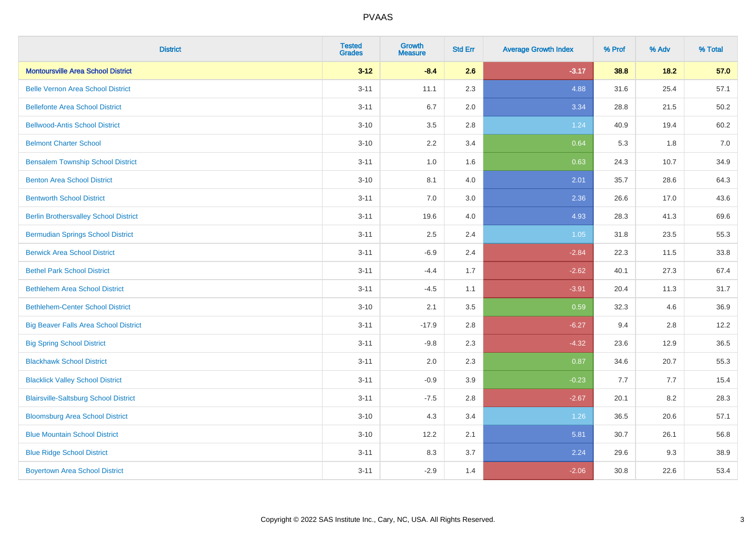| <b>District</b>                              | <b>Tested</b><br><b>Grades</b> | <b>Growth</b><br><b>Measure</b> | <b>Std Err</b> | <b>Average Growth Index</b> | % Prof | % Adv | % Total |
|----------------------------------------------|--------------------------------|---------------------------------|----------------|-----------------------------|--------|-------|---------|
| <b>Montoursville Area School District</b>    | $3 - 12$                       | $-8.4$                          | 2.6            | $-3.17$                     | 38.8   | 18.2  | 57.0    |
| <b>Belle Vernon Area School District</b>     | $3 - 11$                       | 11.1                            | 2.3            | 4.88                        | 31.6   | 25.4  | 57.1    |
| <b>Bellefonte Area School District</b>       | $3 - 11$                       | 6.7                             | 2.0            | 3.34                        | 28.8   | 21.5  | 50.2    |
| <b>Bellwood-Antis School District</b>        | $3 - 10$                       | 3.5                             | 2.8            | 1.24                        | 40.9   | 19.4  | 60.2    |
| <b>Belmont Charter School</b>                | $3 - 10$                       | 2.2                             | 3.4            | 0.64                        | 5.3    | 1.8   | 7.0     |
| <b>Bensalem Township School District</b>     | $3 - 11$                       | $1.0\,$                         | 1.6            | 0.63                        | 24.3   | 10.7  | 34.9    |
| <b>Benton Area School District</b>           | $3 - 10$                       | 8.1                             | 4.0            | 2.01                        | 35.7   | 28.6  | 64.3    |
| <b>Bentworth School District</b>             | $3 - 11$                       | 7.0                             | 3.0            | 2.36                        | 26.6   | 17.0  | 43.6    |
| <b>Berlin Brothersvalley School District</b> | $3 - 11$                       | 19.6                            | 4.0            | 4.93                        | 28.3   | 41.3  | 69.6    |
| <b>Bermudian Springs School District</b>     | $3 - 11$                       | 2.5                             | 2.4            | 1.05                        | 31.8   | 23.5  | 55.3    |
| <b>Berwick Area School District</b>          | $3 - 11$                       | $-6.9$                          | 2.4            | $-2.84$                     | 22.3   | 11.5  | 33.8    |
| <b>Bethel Park School District</b>           | $3 - 11$                       | $-4.4$                          | 1.7            | $-2.62$                     | 40.1   | 27.3  | 67.4    |
| <b>Bethlehem Area School District</b>        | $3 - 11$                       | $-4.5$                          | 1.1            | $-3.91$                     | 20.4   | 11.3  | 31.7    |
| <b>Bethlehem-Center School District</b>      | $3 - 10$                       | 2.1                             | 3.5            | 0.59                        | 32.3   | 4.6   | 36.9    |
| <b>Big Beaver Falls Area School District</b> | $3 - 11$                       | $-17.9$                         | 2.8            | $-6.27$                     | 9.4    | 2.8   | 12.2    |
| <b>Big Spring School District</b>            | $3 - 11$                       | $-9.8$                          | 2.3            | $-4.32$                     | 23.6   | 12.9  | 36.5    |
| <b>Blackhawk School District</b>             | $3 - 11$                       | 2.0                             | 2.3            | 0.87                        | 34.6   | 20.7  | 55.3    |
| <b>Blacklick Valley School District</b>      | $3 - 11$                       | $-0.9$                          | 3.9            | $-0.23$                     | 7.7    | 7.7   | 15.4    |
| <b>Blairsville-Saltsburg School District</b> | $3 - 11$                       | $-7.5$                          | 2.8            | $-2.67$                     | 20.1   | 8.2   | 28.3    |
| <b>Bloomsburg Area School District</b>       | $3 - 10$                       | 4.3                             | 3.4            | 1.26                        | 36.5   | 20.6  | 57.1    |
| <b>Blue Mountain School District</b>         | $3 - 10$                       | 12.2                            | 2.1            | 5.81                        | 30.7   | 26.1  | 56.8    |
| <b>Blue Ridge School District</b>            | $3 - 11$                       | 8.3                             | 3.7            | 2.24                        | 29.6   | 9.3   | 38.9    |
| <b>Boyertown Area School District</b>        | $3 - 11$                       | $-2.9$                          | 1.4            | $-2.06$                     | 30.8   | 22.6  | 53.4    |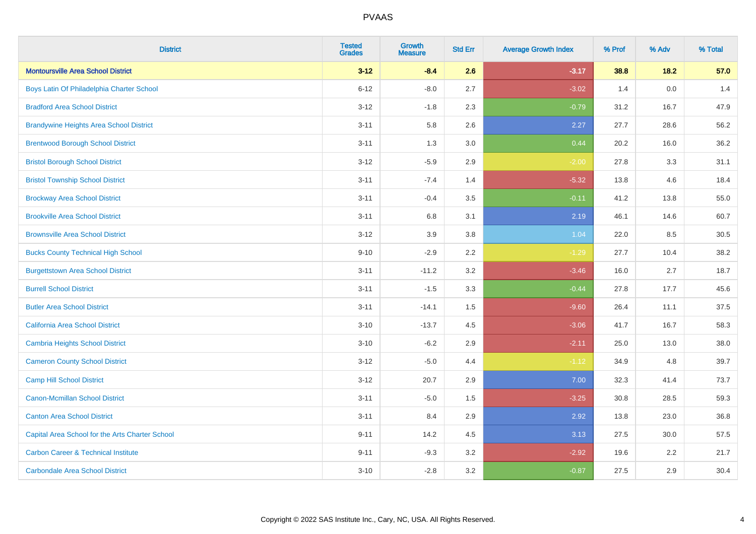| <b>District</b>                                 | <b>Tested</b><br><b>Grades</b> | <b>Growth</b><br><b>Measure</b> | <b>Std Err</b> | <b>Average Growth Index</b> | % Prof | % Adv | % Total |
|-------------------------------------------------|--------------------------------|---------------------------------|----------------|-----------------------------|--------|-------|---------|
| <b>Montoursville Area School District</b>       | $3 - 12$                       | $-8.4$                          | 2.6            | $-3.17$                     | 38.8   | 18.2  | 57.0    |
| Boys Latin Of Philadelphia Charter School       | $6 - 12$                       | $-8.0$                          | 2.7            | $-3.02$                     | 1.4    | 0.0   | 1.4     |
| <b>Bradford Area School District</b>            | $3 - 12$                       | $-1.8$                          | 2.3            | $-0.79$                     | 31.2   | 16.7  | 47.9    |
| <b>Brandywine Heights Area School District</b>  | $3 - 11$                       | 5.8                             | 2.6            | 2.27                        | 27.7   | 28.6  | 56.2    |
| <b>Brentwood Borough School District</b>        | $3 - 11$                       | 1.3                             | 3.0            | 0.44                        | 20.2   | 16.0  | 36.2    |
| <b>Bristol Borough School District</b>          | $3 - 12$                       | $-5.9$                          | 2.9            | $-2.00$                     | 27.8   | 3.3   | 31.1    |
| <b>Bristol Township School District</b>         | $3 - 11$                       | $-7.4$                          | 1.4            | $-5.32$                     | 13.8   | 4.6   | 18.4    |
| <b>Brockway Area School District</b>            | $3 - 11$                       | $-0.4$                          | 3.5            | $-0.11$                     | 41.2   | 13.8  | 55.0    |
| <b>Brookville Area School District</b>          | $3 - 11$                       | 6.8                             | 3.1            | 2.19                        | 46.1   | 14.6  | 60.7    |
| <b>Brownsville Area School District</b>         | $3 - 12$                       | 3.9                             | 3.8            | 1.04                        | 22.0   | 8.5   | 30.5    |
| <b>Bucks County Technical High School</b>       | $9 - 10$                       | $-2.9$                          | 2.2            | $-1.29$                     | 27.7   | 10.4  | 38.2    |
| <b>Burgettstown Area School District</b>        | $3 - 11$                       | $-11.2$                         | 3.2            | $-3.46$                     | 16.0   | 2.7   | 18.7    |
| <b>Burrell School District</b>                  | $3 - 11$                       | $-1.5$                          | 3.3            | $-0.44$                     | 27.8   | 17.7  | 45.6    |
| <b>Butler Area School District</b>              | $3 - 11$                       | $-14.1$                         | 1.5            | $-9.60$                     | 26.4   | 11.1  | 37.5    |
| California Area School District                 | $3 - 10$                       | $-13.7$                         | 4.5            | $-3.06$                     | 41.7   | 16.7  | 58.3    |
| <b>Cambria Heights School District</b>          | $3 - 10$                       | $-6.2$                          | 2.9            | $-2.11$                     | 25.0   | 13.0  | 38.0    |
| <b>Cameron County School District</b>           | $3 - 12$                       | $-5.0$                          | 4.4            | $-1.12$                     | 34.9   | 4.8   | 39.7    |
| <b>Camp Hill School District</b>                | $3 - 12$                       | 20.7                            | 2.9            | 7.00                        | 32.3   | 41.4  | 73.7    |
| <b>Canon-Mcmillan School District</b>           | $3 - 11$                       | $-5.0$                          | $1.5\,$        | $-3.25$                     | 30.8   | 28.5  | 59.3    |
| <b>Canton Area School District</b>              | $3 - 11$                       | 8.4                             | 2.9            | 2.92                        | 13.8   | 23.0  | 36.8    |
| Capital Area School for the Arts Charter School | $9 - 11$                       | 14.2                            | 4.5            | 3.13                        | 27.5   | 30.0  | 57.5    |
| <b>Carbon Career &amp; Technical Institute</b>  | $9 - 11$                       | $-9.3$                          | 3.2            | $-2.92$                     | 19.6   | 2.2   | 21.7    |
| <b>Carbondale Area School District</b>          | $3 - 10$                       | $-2.8$                          | 3.2            | $-0.87$                     | 27.5   | 2.9   | 30.4    |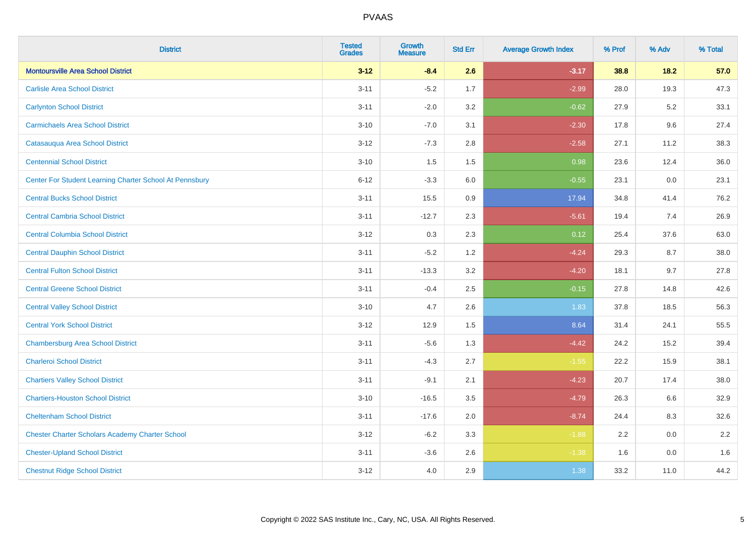| <b>District</b>                                         | <b>Tested</b><br><b>Grades</b> | <b>Growth</b><br><b>Measure</b> | <b>Std Err</b> | <b>Average Growth Index</b> | % Prof | % Adv   | % Total |
|---------------------------------------------------------|--------------------------------|---------------------------------|----------------|-----------------------------|--------|---------|---------|
| <b>Montoursville Area School District</b>               | $3 - 12$                       | $-8.4$                          | 2.6            | $-3.17$                     | 38.8   | 18.2    | 57.0    |
| <b>Carlisle Area School District</b>                    | $3 - 11$                       | $-5.2$                          | 1.7            | $-2.99$                     | 28.0   | 19.3    | 47.3    |
| <b>Carlynton School District</b>                        | $3 - 11$                       | $-2.0$                          | 3.2            | $-0.62$                     | 27.9   | $5.2\,$ | 33.1    |
| <b>Carmichaels Area School District</b>                 | $3 - 10$                       | $-7.0$                          | 3.1            | $-2.30$                     | 17.8   | 9.6     | 27.4    |
| Catasauqua Area School District                         | $3-12$                         | $-7.3$                          | 2.8            | $-2.58$                     | 27.1   | 11.2    | 38.3    |
| <b>Centennial School District</b>                       | $3 - 10$                       | 1.5                             | 1.5            | 0.98                        | 23.6   | 12.4    | 36.0    |
| Center For Student Learning Charter School At Pennsbury | $6 - 12$                       | $-3.3$                          | 6.0            | $-0.55$                     | 23.1   | 0.0     | 23.1    |
| <b>Central Bucks School District</b>                    | $3 - 11$                       | 15.5                            | 0.9            | 17.94                       | 34.8   | 41.4    | 76.2    |
| <b>Central Cambria School District</b>                  | $3 - 11$                       | $-12.7$                         | 2.3            | $-5.61$                     | 19.4   | 7.4     | 26.9    |
| <b>Central Columbia School District</b>                 | $3 - 12$                       | 0.3                             | 2.3            | 0.12                        | 25.4   | 37.6    | 63.0    |
| <b>Central Dauphin School District</b>                  | $3 - 11$                       | $-5.2$                          | 1.2            | $-4.24$                     | 29.3   | 8.7     | 38.0    |
| <b>Central Fulton School District</b>                   | $3 - 11$                       | $-13.3$                         | 3.2            | $-4.20$                     | 18.1   | 9.7     | 27.8    |
| <b>Central Greene School District</b>                   | $3 - 11$                       | $-0.4$                          | 2.5            | $-0.15$                     | 27.8   | 14.8    | 42.6    |
| <b>Central Valley School District</b>                   | $3 - 10$                       | 4.7                             | 2.6            | 1.83                        | 37.8   | 18.5    | 56.3    |
| <b>Central York School District</b>                     | $3 - 12$                       | 12.9                            | 1.5            | 8.64                        | 31.4   | 24.1    | 55.5    |
| <b>Chambersburg Area School District</b>                | $3 - 11$                       | $-5.6$                          | 1.3            | $-4.42$                     | 24.2   | 15.2    | 39.4    |
| <b>Charleroi School District</b>                        | $3 - 11$                       | $-4.3$                          | 2.7            | $-1.55$                     | 22.2   | 15.9    | 38.1    |
| <b>Chartiers Valley School District</b>                 | $3 - 11$                       | $-9.1$                          | 2.1            | $-4.23$                     | 20.7   | 17.4    | 38.0    |
| <b>Chartiers-Houston School District</b>                | $3 - 10$                       | $-16.5$                         | 3.5            | $-4.79$                     | 26.3   | 6.6     | 32.9    |
| <b>Cheltenham School District</b>                       | $3 - 11$                       | $-17.6$                         | 2.0            | $-8.74$                     | 24.4   | 8.3     | 32.6    |
| <b>Chester Charter Scholars Academy Charter School</b>  | $3 - 12$                       | $-6.2$                          | 3.3            | $-1.88$                     | 2.2    | 0.0     | 2.2     |
| <b>Chester-Upland School District</b>                   | $3 - 11$                       | $-3.6$                          | 2.6            | $-1.38$                     | 1.6    | 0.0     | 1.6     |
| <b>Chestnut Ridge School District</b>                   | $3 - 12$                       | 4.0                             | 2.9            | 1.38                        | 33.2   | 11.0    | 44.2    |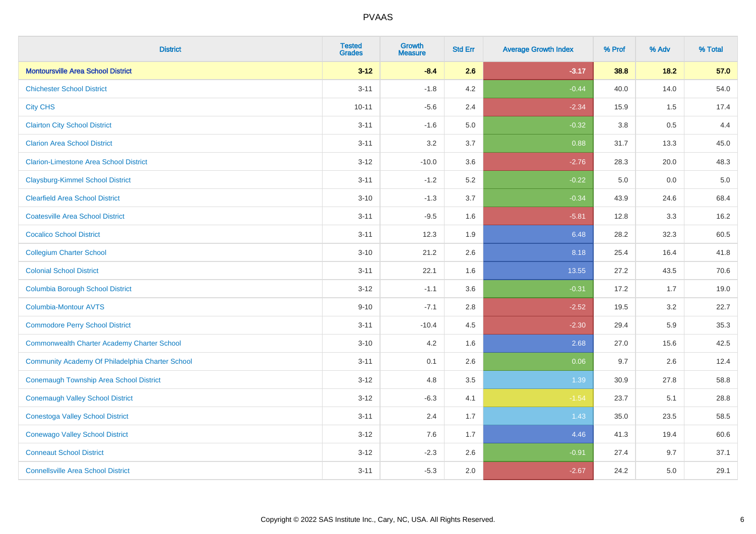| <b>District</b>                                    | <b>Tested</b><br><b>Grades</b> | <b>Growth</b><br><b>Measure</b> | <b>Std Err</b> | <b>Average Growth Index</b> | % Prof  | % Adv   | % Total |
|----------------------------------------------------|--------------------------------|---------------------------------|----------------|-----------------------------|---------|---------|---------|
| <b>Montoursville Area School District</b>          | $3 - 12$                       | $-8.4$                          | 2.6            | $-3.17$                     | 38.8    | $18.2$  | 57.0    |
| <b>Chichester School District</b>                  | $3 - 11$                       | $-1.8$                          | 4.2            | $-0.44$                     | 40.0    | 14.0    | 54.0    |
| <b>City CHS</b>                                    | $10 - 11$                      | $-5.6$                          | 2.4            | $-2.34$                     | 15.9    | 1.5     | 17.4    |
| <b>Clairton City School District</b>               | $3 - 11$                       | $-1.6$                          | $5.0\,$        | $-0.32$                     | $3.8\,$ | 0.5     | 4.4     |
| <b>Clarion Area School District</b>                | $3 - 11$                       | 3.2                             | 3.7            | 0.88                        | 31.7    | 13.3    | 45.0    |
| <b>Clarion-Limestone Area School District</b>      | $3 - 12$                       | $-10.0$                         | 3.6            | $-2.76$                     | 28.3    | 20.0    | 48.3    |
| <b>Claysburg-Kimmel School District</b>            | $3 - 11$                       | $-1.2$                          | 5.2            | $-0.22$                     | 5.0     | $0.0\,$ | $5.0$   |
| <b>Clearfield Area School District</b>             | $3 - 10$                       | $-1.3$                          | 3.7            | $-0.34$                     | 43.9    | 24.6    | 68.4    |
| <b>Coatesville Area School District</b>            | $3 - 11$                       | $-9.5$                          | 1.6            | $-5.81$                     | 12.8    | 3.3     | 16.2    |
| <b>Cocalico School District</b>                    | $3 - 11$                       | 12.3                            | 1.9            | 6.48                        | 28.2    | 32.3    | 60.5    |
| <b>Collegium Charter School</b>                    | $3 - 10$                       | 21.2                            | 2.6            | 8.18                        | 25.4    | 16.4    | 41.8    |
| <b>Colonial School District</b>                    | $3 - 11$                       | 22.1                            | 1.6            | 13.55                       | 27.2    | 43.5    | 70.6    |
| <b>Columbia Borough School District</b>            | $3 - 12$                       | $-1.1$                          | 3.6            | $-0.31$                     | 17.2    | 1.7     | 19.0    |
| <b>Columbia-Montour AVTS</b>                       | $9 - 10$                       | $-7.1$                          | 2.8            | $-2.52$                     | 19.5    | 3.2     | 22.7    |
| <b>Commodore Perry School District</b>             | $3 - 11$                       | $-10.4$                         | 4.5            | $-2.30$                     | 29.4    | 5.9     | 35.3    |
| <b>Commonwealth Charter Academy Charter School</b> | $3 - 10$                       | 4.2                             | 1.6            | 2.68                        | 27.0    | 15.6    | 42.5    |
| Community Academy Of Philadelphia Charter School   | $3 - 11$                       | 0.1                             | 2.6            | 0.06                        | 9.7     | 2.6     | 12.4    |
| <b>Conemaugh Township Area School District</b>     | $3 - 12$                       | 4.8                             | 3.5            | 1.39                        | 30.9    | 27.8    | 58.8    |
| <b>Conemaugh Valley School District</b>            | $3 - 12$                       | $-6.3$                          | 4.1            | $-1.54$                     | 23.7    | 5.1     | 28.8    |
| <b>Conestoga Valley School District</b>            | $3 - 11$                       | 2.4                             | 1.7            | 1.43                        | 35.0    | 23.5    | 58.5    |
| <b>Conewago Valley School District</b>             | $3 - 12$                       | 7.6                             | 1.7            | 4.46                        | 41.3    | 19.4    | 60.6    |
| <b>Conneaut School District</b>                    | $3 - 12$                       | $-2.3$                          | 2.6            | $-0.91$                     | 27.4    | 9.7     | 37.1    |
| <b>Connellsville Area School District</b>          | $3 - 11$                       | $-5.3$                          | 2.0            | $-2.67$                     | 24.2    | 5.0     | 29.1    |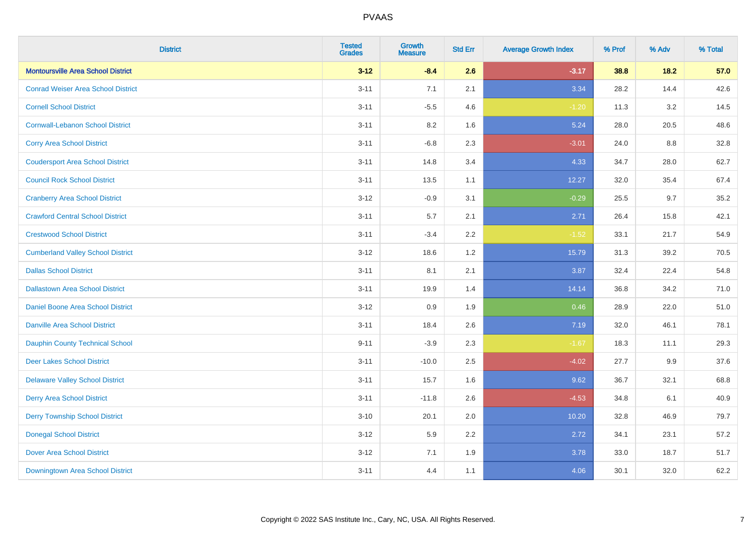| <b>District</b>                           | <b>Tested</b><br><b>Grades</b> | Growth<br><b>Measure</b> | <b>Std Err</b> | <b>Average Growth Index</b> | % Prof | % Adv  | % Total |
|-------------------------------------------|--------------------------------|--------------------------|----------------|-----------------------------|--------|--------|---------|
| <b>Montoursville Area School District</b> | $3 - 12$                       | $-8.4$                   | 2.6            | $-3.17$                     | 38.8   | $18.2$ | 57.0    |
| <b>Conrad Weiser Area School District</b> | $3 - 11$                       | 7.1                      | 2.1            | 3.34                        | 28.2   | 14.4   | 42.6    |
| <b>Cornell School District</b>            | $3 - 11$                       | $-5.5$                   | 4.6            | $-1.20$                     | 11.3   | 3.2    | 14.5    |
| <b>Cornwall-Lebanon School District</b>   | $3 - 11$                       | $8.2\,$                  | 1.6            | 5.24                        | 28.0   | 20.5   | 48.6    |
| <b>Corry Area School District</b>         | $3 - 11$                       | $-6.8$                   | 2.3            | $-3.01$                     | 24.0   | 8.8    | 32.8    |
| <b>Coudersport Area School District</b>   | $3 - 11$                       | 14.8                     | 3.4            | 4.33                        | 34.7   | 28.0   | 62.7    |
| <b>Council Rock School District</b>       | $3 - 11$                       | 13.5                     | 1.1            | 12.27                       | 32.0   | 35.4   | 67.4    |
| <b>Cranberry Area School District</b>     | $3 - 12$                       | $-0.9$                   | 3.1            | $-0.29$                     | 25.5   | 9.7    | 35.2    |
| <b>Crawford Central School District</b>   | $3 - 11$                       | 5.7                      | 2.1            | 2.71                        | 26.4   | 15.8   | 42.1    |
| <b>Crestwood School District</b>          | $3 - 11$                       | $-3.4$                   | $2.2\,$        | $-1.52$                     | 33.1   | 21.7   | 54.9    |
| <b>Cumberland Valley School District</b>  | $3-12$                         | 18.6                     | 1.2            | 15.79                       | 31.3   | 39.2   | 70.5    |
| <b>Dallas School District</b>             | $3 - 11$                       | 8.1                      | 2.1            | 3.87                        | 32.4   | 22.4   | 54.8    |
| <b>Dallastown Area School District</b>    | $3 - 11$                       | 19.9                     | 1.4            | 14.14                       | 36.8   | 34.2   | 71.0    |
| Daniel Boone Area School District         | $3-12$                         | 0.9                      | 1.9            | 0.46                        | 28.9   | 22.0   | 51.0    |
| <b>Danville Area School District</b>      | $3 - 11$                       | 18.4                     | 2.6            | 7.19                        | 32.0   | 46.1   | 78.1    |
| <b>Dauphin County Technical School</b>    | $9 - 11$                       | $-3.9$                   | 2.3            | $-1.67$                     | 18.3   | 11.1   | 29.3    |
| <b>Deer Lakes School District</b>         | $3 - 11$                       | $-10.0$                  | 2.5            | $-4.02$                     | 27.7   | 9.9    | 37.6    |
| <b>Delaware Valley School District</b>    | $3 - 11$                       | 15.7                     | 1.6            | 9.62                        | 36.7   | 32.1   | 68.8    |
| <b>Derry Area School District</b>         | $3 - 11$                       | $-11.8$                  | 2.6            | $-4.53$                     | 34.8   | 6.1    | 40.9    |
| <b>Derry Township School District</b>     | $3 - 10$                       | 20.1                     | 2.0            | 10.20                       | 32.8   | 46.9   | 79.7    |
| <b>Donegal School District</b>            | $3 - 12$                       | 5.9                      | 2.2            | 2.72                        | 34.1   | 23.1   | 57.2    |
| <b>Dover Area School District</b>         | $3 - 12$                       | 7.1                      | 1.9            | 3.78                        | 33.0   | 18.7   | 51.7    |
| Downingtown Area School District          | $3 - 11$                       | 4.4                      | 1.1            | 4.06                        | 30.1   | 32.0   | 62.2    |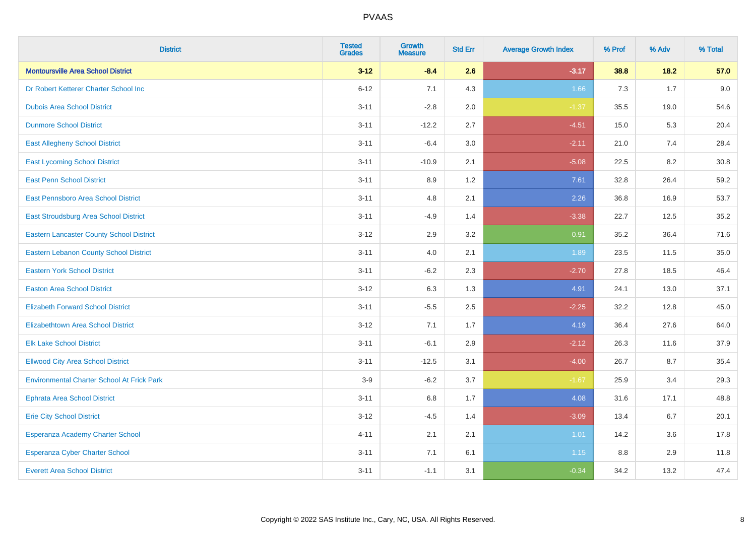| <b>District</b>                                   | <b>Tested</b><br><b>Grades</b> | <b>Growth</b><br><b>Measure</b> | <b>Std Err</b> | <b>Average Growth Index</b> | % Prof | % Adv | % Total |
|---------------------------------------------------|--------------------------------|---------------------------------|----------------|-----------------------------|--------|-------|---------|
| <b>Montoursville Area School District</b>         | $3 - 12$                       | $-8.4$                          | 2.6            | $-3.17$                     | 38.8   | 18.2  | 57.0    |
| Dr Robert Ketterer Charter School Inc             | $6 - 12$                       | 7.1                             | 4.3            | 1.66                        | 7.3    | 1.7   | 9.0     |
| <b>Dubois Area School District</b>                | $3 - 11$                       | $-2.8$                          | 2.0            | $-1.37$                     | 35.5   | 19.0  | 54.6    |
| <b>Dunmore School District</b>                    | $3 - 11$                       | $-12.2$                         | 2.7            | $-4.51$                     | 15.0   | 5.3   | 20.4    |
| <b>East Allegheny School District</b>             | $3 - 11$                       | $-6.4$                          | 3.0            | $-2.11$                     | 21.0   | 7.4   | 28.4    |
| <b>East Lycoming School District</b>              | $3 - 11$                       | $-10.9$                         | 2.1            | $-5.08$                     | 22.5   | 8.2   | 30.8    |
| <b>East Penn School District</b>                  | $3 - 11$                       | 8.9                             | 1.2            | 7.61                        | 32.8   | 26.4  | 59.2    |
| East Pennsboro Area School District               | $3 - 11$                       | 4.8                             | 2.1            | 2.26                        | 36.8   | 16.9  | 53.7    |
| East Stroudsburg Area School District             | $3 - 11$                       | $-4.9$                          | 1.4            | $-3.38$                     | 22.7   | 12.5  | 35.2    |
| <b>Eastern Lancaster County School District</b>   | $3 - 12$                       | 2.9                             | 3.2            | 0.91                        | 35.2   | 36.4  | 71.6    |
| <b>Eastern Lebanon County School District</b>     | $3 - 11$                       | 4.0                             | 2.1            | 1.89                        | 23.5   | 11.5  | 35.0    |
| <b>Eastern York School District</b>               | $3 - 11$                       | $-6.2$                          | 2.3            | $-2.70$                     | 27.8   | 18.5  | 46.4    |
| <b>Easton Area School District</b>                | $3 - 12$                       | 6.3                             | 1.3            | 4.91                        | 24.1   | 13.0  | 37.1    |
| <b>Elizabeth Forward School District</b>          | $3 - 11$                       | $-5.5$                          | 2.5            | $-2.25$                     | 32.2   | 12.8  | 45.0    |
| <b>Elizabethtown Area School District</b>         | $3 - 12$                       | 7.1                             | 1.7            | 4.19                        | 36.4   | 27.6  | 64.0    |
| <b>Elk Lake School District</b>                   | $3 - 11$                       | $-6.1$                          | 2.9            | $-2.12$                     | 26.3   | 11.6  | 37.9    |
| <b>Ellwood City Area School District</b>          | $3 - 11$                       | $-12.5$                         | 3.1            | $-4.00$                     | 26.7   | 8.7   | 35.4    |
| <b>Environmental Charter School At Frick Park</b> | $3-9$                          | $-6.2$                          | 3.7            | $-1.67$                     | 25.9   | 3.4   | 29.3    |
| <b>Ephrata Area School District</b>               | $3 - 11$                       | 6.8                             | 1.7            | 4.08                        | 31.6   | 17.1  | 48.8    |
| <b>Erie City School District</b>                  | $3 - 12$                       | $-4.5$                          | 1.4            | $-3.09$                     | 13.4   | 6.7   | 20.1    |
| Esperanza Academy Charter School                  | $4 - 11$                       | 2.1                             | 2.1            | 1.01                        | 14.2   | 3.6   | 17.8    |
| Esperanza Cyber Charter School                    | $3 - 11$                       | 7.1                             | 6.1            | 1.15                        | 8.8    | 2.9   | 11.8    |
| <b>Everett Area School District</b>               | $3 - 11$                       | $-1.1$                          | 3.1            | $-0.34$                     | 34.2   | 13.2  | 47.4    |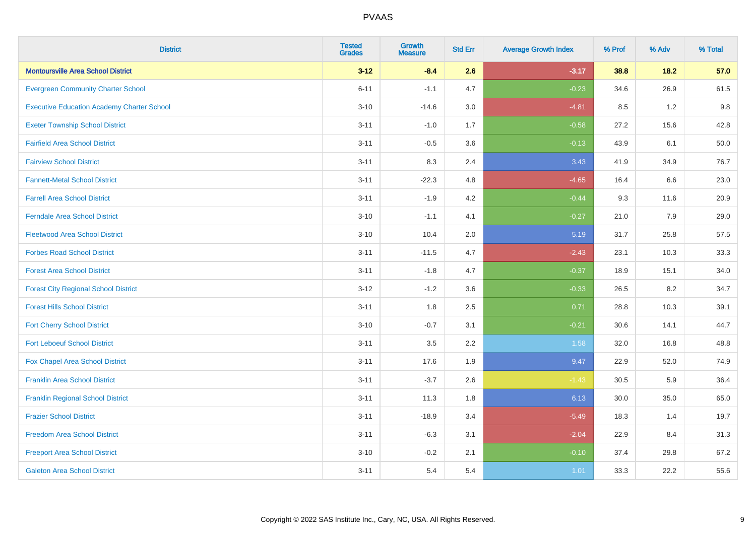| <b>District</b>                                   | <b>Tested</b><br><b>Grades</b> | <b>Growth</b><br><b>Measure</b> | <b>Std Err</b> | <b>Average Growth Index</b> | % Prof | % Adv  | % Total |
|---------------------------------------------------|--------------------------------|---------------------------------|----------------|-----------------------------|--------|--------|---------|
| <b>Montoursville Area School District</b>         | $3 - 12$                       | $-8.4$                          | 2.6            | $-3.17$                     | 38.8   | $18.2$ | 57.0    |
| <b>Evergreen Community Charter School</b>         | $6 - 11$                       | $-1.1$                          | 4.7            | $-0.23$                     | 34.6   | 26.9   | 61.5    |
| <b>Executive Education Academy Charter School</b> | $3 - 10$                       | $-14.6$                         | 3.0            | $-4.81$                     | 8.5    | 1.2    | 9.8     |
| <b>Exeter Township School District</b>            | $3 - 11$                       | $-1.0$                          | 1.7            | $-0.58$                     | 27.2   | 15.6   | 42.8    |
| <b>Fairfield Area School District</b>             | $3 - 11$                       | $-0.5$                          | 3.6            | $-0.13$                     | 43.9   | 6.1    | 50.0    |
| <b>Fairview School District</b>                   | $3 - 11$                       | 8.3                             | 2.4            | 3.43                        | 41.9   | 34.9   | 76.7    |
| <b>Fannett-Metal School District</b>              | $3 - 11$                       | $-22.3$                         | 4.8            | $-4.65$                     | 16.4   | 6.6    | 23.0    |
| <b>Farrell Area School District</b>               | $3 - 11$                       | $-1.9$                          | 4.2            | $-0.44$                     | 9.3    | 11.6   | 20.9    |
| <b>Ferndale Area School District</b>              | $3 - 10$                       | $-1.1$                          | 4.1            | $-0.27$                     | 21.0   | 7.9    | 29.0    |
| <b>Fleetwood Area School District</b>             | $3 - 10$                       | 10.4                            | 2.0            | 5.19                        | 31.7   | 25.8   | 57.5    |
| <b>Forbes Road School District</b>                | $3 - 11$                       | $-11.5$                         | 4.7            | $-2.43$                     | 23.1   | 10.3   | 33.3    |
| <b>Forest Area School District</b>                | $3 - 11$                       | $-1.8$                          | 4.7            | $-0.37$                     | 18.9   | 15.1   | 34.0    |
| <b>Forest City Regional School District</b>       | $3 - 12$                       | $-1.2$                          | 3.6            | $-0.33$                     | 26.5   | 8.2    | 34.7    |
| <b>Forest Hills School District</b>               | $3 - 11$                       | 1.8                             | 2.5            | 0.71                        | 28.8   | 10.3   | 39.1    |
| <b>Fort Cherry School District</b>                | $3 - 10$                       | $-0.7$                          | 3.1            | $-0.21$                     | 30.6   | 14.1   | 44.7    |
| <b>Fort Leboeuf School District</b>               | $3 - 11$                       | 3.5                             | 2.2            | 1.58                        | 32.0   | 16.8   | 48.8    |
| Fox Chapel Area School District                   | $3 - 11$                       | 17.6                            | 1.9            | 9.47                        | 22.9   | 52.0   | 74.9    |
| <b>Franklin Area School District</b>              | $3 - 11$                       | $-3.7$                          | 2.6            | $-1.43$                     | 30.5   | 5.9    | 36.4    |
| <b>Franklin Regional School District</b>          | $3 - 11$                       | 11.3                            | 1.8            | 6.13                        | 30.0   | 35.0   | 65.0    |
| <b>Frazier School District</b>                    | $3 - 11$                       | $-18.9$                         | 3.4            | $-5.49$                     | 18.3   | 1.4    | 19.7    |
| <b>Freedom Area School District</b>               | $3 - 11$                       | $-6.3$                          | 3.1            | $-2.04$                     | 22.9   | 8.4    | 31.3    |
| <b>Freeport Area School District</b>              | $3 - 10$                       | $-0.2$                          | 2.1            | $-0.10$                     | 37.4   | 29.8   | 67.2    |
| <b>Galeton Area School District</b>               | $3 - 11$                       | 5.4                             | 5.4            | 1.01                        | 33.3   | 22.2   | 55.6    |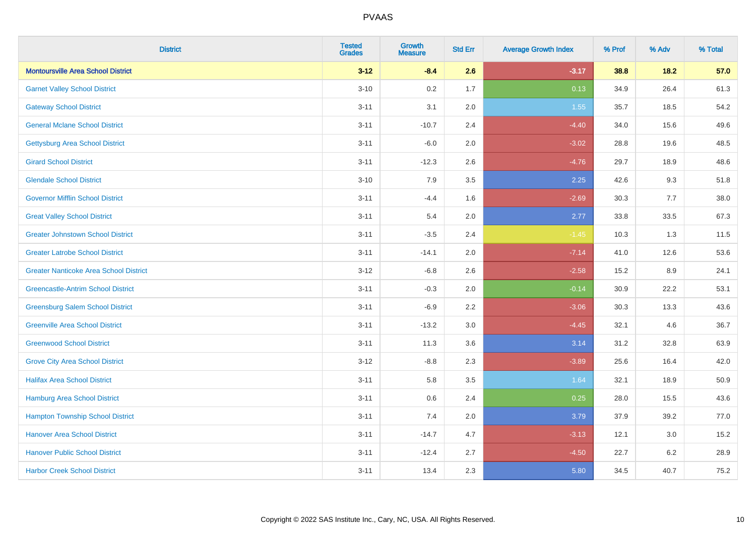| <b>District</b>                               | <b>Tested</b><br><b>Grades</b> | <b>Growth</b><br><b>Measure</b> | <b>Std Err</b> | <b>Average Growth Index</b> | % Prof | % Adv   | % Total |
|-----------------------------------------------|--------------------------------|---------------------------------|----------------|-----------------------------|--------|---------|---------|
| <b>Montoursville Area School District</b>     | $3 - 12$                       | $-8.4$                          | 2.6            | $-3.17$                     | 38.8   | 18.2    | 57.0    |
| <b>Garnet Valley School District</b>          | $3 - 10$                       | 0.2                             | 1.7            | 0.13                        | 34.9   | 26.4    | 61.3    |
| <b>Gateway School District</b>                | $3 - 11$                       | 3.1                             | 2.0            | 1.55                        | 35.7   | 18.5    | 54.2    |
| <b>General Mclane School District</b>         | $3 - 11$                       | $-10.7$                         | 2.4            | $-4.40$                     | 34.0   | 15.6    | 49.6    |
| <b>Gettysburg Area School District</b>        | $3 - 11$                       | $-6.0$                          | 2.0            | $-3.02$                     | 28.8   | 19.6    | 48.5    |
| <b>Girard School District</b>                 | $3 - 11$                       | $-12.3$                         | 2.6            | $-4.76$                     | 29.7   | 18.9    | 48.6    |
| <b>Glendale School District</b>               | $3 - 10$                       | 7.9                             | 3.5            | 2.25                        | 42.6   | 9.3     | 51.8    |
| <b>Governor Mifflin School District</b>       | $3 - 11$                       | $-4.4$                          | 1.6            | $-2.69$                     | 30.3   | 7.7     | 38.0    |
| <b>Great Valley School District</b>           | $3 - 11$                       | 5.4                             | 2.0            | 2.77                        | 33.8   | 33.5    | 67.3    |
| <b>Greater Johnstown School District</b>      | $3 - 11$                       | $-3.5$                          | 2.4            | $-1.45$                     | 10.3   | 1.3     | 11.5    |
| <b>Greater Latrobe School District</b>        | $3 - 11$                       | $-14.1$                         | 2.0            | $-7.14$                     | 41.0   | 12.6    | 53.6    |
| <b>Greater Nanticoke Area School District</b> | $3 - 12$                       | $-6.8$                          | 2.6            | $-2.58$                     | 15.2   | 8.9     | 24.1    |
| <b>Greencastle-Antrim School District</b>     | $3 - 11$                       | $-0.3$                          | 2.0            | $-0.14$                     | 30.9   | 22.2    | 53.1    |
| <b>Greensburg Salem School District</b>       | $3 - 11$                       | $-6.9$                          | 2.2            | $-3.06$                     | 30.3   | 13.3    | 43.6    |
| <b>Greenville Area School District</b>        | $3 - 11$                       | $-13.2$                         | 3.0            | $-4.45$                     | 32.1   | 4.6     | 36.7    |
| <b>Greenwood School District</b>              | $3 - 11$                       | 11.3                            | 3.6            | 3.14                        | 31.2   | 32.8    | 63.9    |
| <b>Grove City Area School District</b>        | $3 - 12$                       | $-8.8$                          | 2.3            | $-3.89$                     | 25.6   | 16.4    | 42.0    |
| <b>Halifax Area School District</b>           | $3 - 11$                       | 5.8                             | 3.5            | 1.64                        | 32.1   | 18.9    | 50.9    |
| <b>Hamburg Area School District</b>           | $3 - 11$                       | 0.6                             | 2.4            | 0.25                        | 28.0   | 15.5    | 43.6    |
| <b>Hampton Township School District</b>       | $3 - 11$                       | 7.4                             | 2.0            | 3.79                        | 37.9   | 39.2    | 77.0    |
| <b>Hanover Area School District</b>           | $3 - 11$                       | $-14.7$                         | 4.7            | $-3.13$                     | 12.1   | 3.0     | 15.2    |
| <b>Hanover Public School District</b>         | $3 - 11$                       | $-12.4$                         | 2.7            | $-4.50$                     | 22.7   | $6.2\,$ | 28.9    |
| <b>Harbor Creek School District</b>           | $3 - 11$                       | 13.4                            | 2.3            | 5.80                        | 34.5   | 40.7    | 75.2    |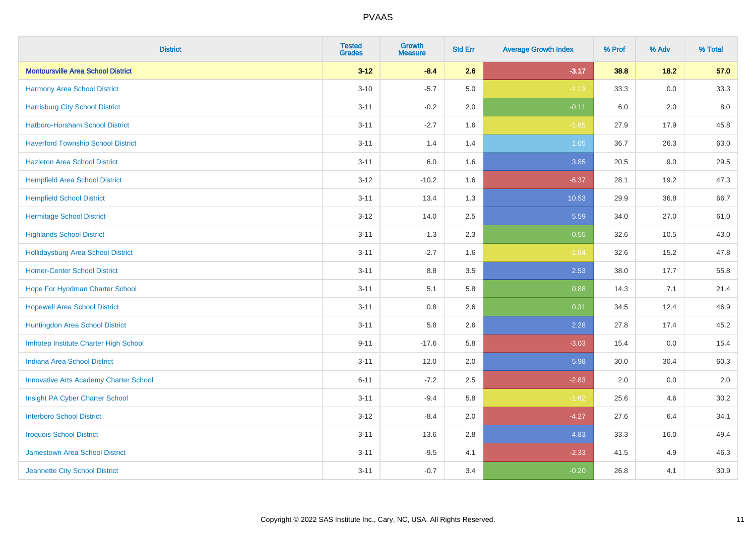| <b>District</b>                               | <b>Tested</b><br><b>Grades</b> | <b>Growth</b><br><b>Measure</b> | <b>Std Err</b> | <b>Average Growth Index</b> | % Prof | % Adv   | % Total |
|-----------------------------------------------|--------------------------------|---------------------------------|----------------|-----------------------------|--------|---------|---------|
| <b>Montoursville Area School District</b>     | $3 - 12$                       | $-8.4$                          | 2.6            | $-3.17$                     | 38.8   | 18.2    | 57.0    |
| Harmony Area School District                  | $3 - 10$                       | $-5.7$                          | 5.0            | $-1.13$                     | 33.3   | 0.0     | 33.3    |
| <b>Harrisburg City School District</b>        | $3 - 11$                       | $-0.2$                          | 2.0            | $-0.11$                     | 6.0    | 2.0     | 8.0     |
| Hatboro-Horsham School District               | $3 - 11$                       | $-2.7$                          | 1.6            | $-1.65$                     | 27.9   | 17.9    | 45.8    |
| <b>Haverford Township School District</b>     | $3 - 11$                       | 1.4                             | 1.4            | 1.05                        | 36.7   | 26.3    | 63.0    |
| <b>Hazleton Area School District</b>          | $3 - 11$                       | 6.0                             | 1.6            | 3.85                        | 20.5   | 9.0     | 29.5    |
| <b>Hempfield Area School District</b>         | $3 - 12$                       | $-10.2$                         | 1.6            | $-6.37$                     | 28.1   | 19.2    | 47.3    |
| <b>Hempfield School District</b>              | $3 - 11$                       | 13.4                            | 1.3            | 10.53                       | 29.9   | 36.8    | 66.7    |
| <b>Hermitage School District</b>              | $3 - 12$                       | 14.0                            | 2.5            | 5.59                        | 34.0   | 27.0    | 61.0    |
| <b>Highlands School District</b>              | $3 - 11$                       | $-1.3$                          | 2.3            | $-0.55$                     | 32.6   | 10.5    | 43.0    |
| <b>Hollidaysburg Area School District</b>     | $3 - 11$                       | $-2.7$                          | 1.6            | $-1.64$                     | 32.6   | 15.2    | 47.8    |
| <b>Homer-Center School District</b>           | $3 - 11$                       | 8.8                             | 3.5            | 2.53                        | 38.0   | 17.7    | 55.8    |
| Hope For Hyndman Charter School               | $3 - 11$                       | 5.1                             | 5.8            | 0.88                        | 14.3   | 7.1     | 21.4    |
| <b>Hopewell Area School District</b>          | $3 - 11$                       | 0.8                             | 2.6            | 0.31                        | 34.5   | 12.4    | 46.9    |
| Huntingdon Area School District               | $3 - 11$                       | 5.8                             | 2.6            | 2.28                        | 27.8   | 17.4    | 45.2    |
| Imhotep Institute Charter High School         | $9 - 11$                       | $-17.6$                         | 5.8            | $-3.03$                     | 15.4   | $0.0\,$ | 15.4    |
| <b>Indiana Area School District</b>           | $3 - 11$                       | 12.0                            | 2.0            | 5.98                        | 30.0   | 30.4    | 60.3    |
| <b>Innovative Arts Academy Charter School</b> | $6 - 11$                       | $-7.2$                          | 2.5            | $-2.83$                     | 2.0    | 0.0     | 2.0     |
| Insight PA Cyber Charter School               | $3 - 11$                       | $-9.4$                          | 5.8            | $-1.62$                     | 25.6   | 4.6     | 30.2    |
| <b>Interboro School District</b>              | $3 - 12$                       | $-8.4$                          | 2.0            | $-4.27$                     | 27.6   | 6.4     | 34.1    |
| <b>Iroquois School District</b>               | $3 - 11$                       | 13.6                            | 2.8            | 4.83                        | 33.3   | 16.0    | 49.4    |
| Jamestown Area School District                | $3 - 11$                       | $-9.5$                          | 4.1            | $-2.33$                     | 41.5   | 4.9     | 46.3    |
| Jeannette City School District                | $3 - 11$                       | $-0.7$                          | 3.4            | $-0.20$                     | 26.8   | 4.1     | 30.9    |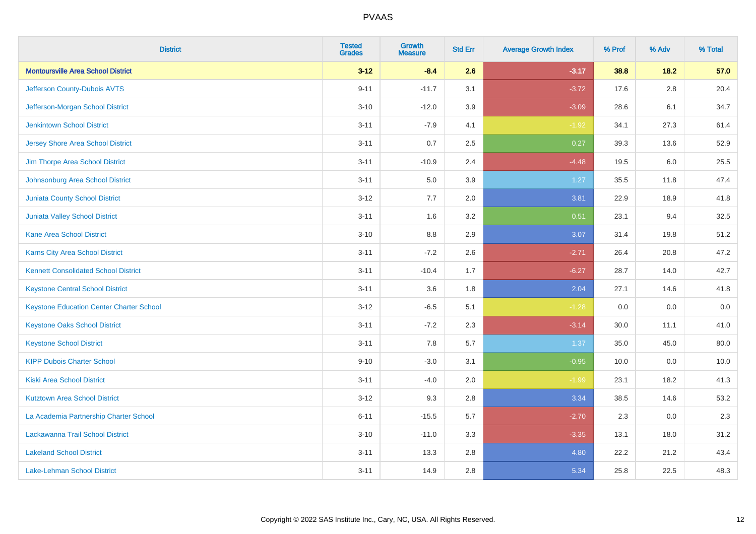| <b>District</b>                                 | <b>Tested</b><br><b>Grades</b> | <b>Growth</b><br><b>Measure</b> | <b>Std Err</b> | <b>Average Growth Index</b> | % Prof | % Adv   | % Total |
|-------------------------------------------------|--------------------------------|---------------------------------|----------------|-----------------------------|--------|---------|---------|
| <b>Montoursville Area School District</b>       | $3 - 12$                       | $-8.4$                          | 2.6            | $-3.17$                     | 38.8   | 18.2    | 57.0    |
| Jefferson County-Dubois AVTS                    | $9 - 11$                       | $-11.7$                         | 3.1            | $-3.72$                     | 17.6   | $2.8\,$ | 20.4    |
| Jefferson-Morgan School District                | $3 - 10$                       | $-12.0$                         | 3.9            | $-3.09$                     | 28.6   | 6.1     | 34.7    |
| <b>Jenkintown School District</b>               | $3 - 11$                       | $-7.9$                          | 4.1            | $-1.92$                     | 34.1   | 27.3    | 61.4    |
| <b>Jersey Shore Area School District</b>        | $3 - 11$                       | 0.7                             | 2.5            | 0.27                        | 39.3   | 13.6    | 52.9    |
| Jim Thorpe Area School District                 | $3 - 11$                       | $-10.9$                         | 2.4            | $-4.48$                     | 19.5   | 6.0     | 25.5    |
| Johnsonburg Area School District                | $3 - 11$                       | 5.0                             | 3.9            | 1.27                        | 35.5   | 11.8    | 47.4    |
| <b>Juniata County School District</b>           | $3 - 12$                       | 7.7                             | 2.0            | 3.81                        | 22.9   | 18.9    | 41.8    |
| <b>Juniata Valley School District</b>           | $3 - 11$                       | 1.6                             | 3.2            | 0.51                        | 23.1   | 9.4     | 32.5    |
| <b>Kane Area School District</b>                | $3 - 10$                       | 8.8                             | 2.9            | 3.07                        | 31.4   | 19.8    | 51.2    |
| Karns City Area School District                 | $3 - 11$                       | $-7.2$                          | 2.6            | $-2.71$                     | 26.4   | 20.8    | 47.2    |
| <b>Kennett Consolidated School District</b>     | $3 - 11$                       | $-10.4$                         | 1.7            | $-6.27$                     | 28.7   | 14.0    | 42.7    |
| <b>Keystone Central School District</b>         | $3 - 11$                       | 3.6                             | 1.8            | 2.04                        | 27.1   | 14.6    | 41.8    |
| <b>Keystone Education Center Charter School</b> | $3 - 12$                       | $-6.5$                          | 5.1            | $-1.28$                     | 0.0    | 0.0     | $0.0\,$ |
| <b>Keystone Oaks School District</b>            | $3 - 11$                       | $-7.2$                          | 2.3            | $-3.14$                     | 30.0   | 11.1    | 41.0    |
| <b>Keystone School District</b>                 | $3 - 11$                       | 7.8                             | 5.7            | 1.37                        | 35.0   | 45.0    | 80.0    |
| <b>KIPP Dubois Charter School</b>               | $9 - 10$                       | $-3.0$                          | 3.1            | $-0.95$                     | 10.0   | 0.0     | 10.0    |
| <b>Kiski Area School District</b>               | $3 - 11$                       | $-4.0$                          | 2.0            | $-1.99$                     | 23.1   | 18.2    | 41.3    |
| <b>Kutztown Area School District</b>            | $3 - 12$                       | 9.3                             | 2.8            | 3.34                        | 38.5   | 14.6    | 53.2    |
| La Academia Partnership Charter School          | $6 - 11$                       | $-15.5$                         | 5.7            | $-2.70$                     | 2.3    | 0.0     | 2.3     |
| Lackawanna Trail School District                | $3 - 10$                       | $-11.0$                         | 3.3            | $-3.35$                     | 13.1   | 18.0    | 31.2    |
| <b>Lakeland School District</b>                 | $3 - 11$                       | 13.3                            | 2.8            | 4.80                        | 22.2   | 21.2    | 43.4    |
| Lake-Lehman School District                     | $3 - 11$                       | 14.9                            | 2.8            | 5.34                        | 25.8   | 22.5    | 48.3    |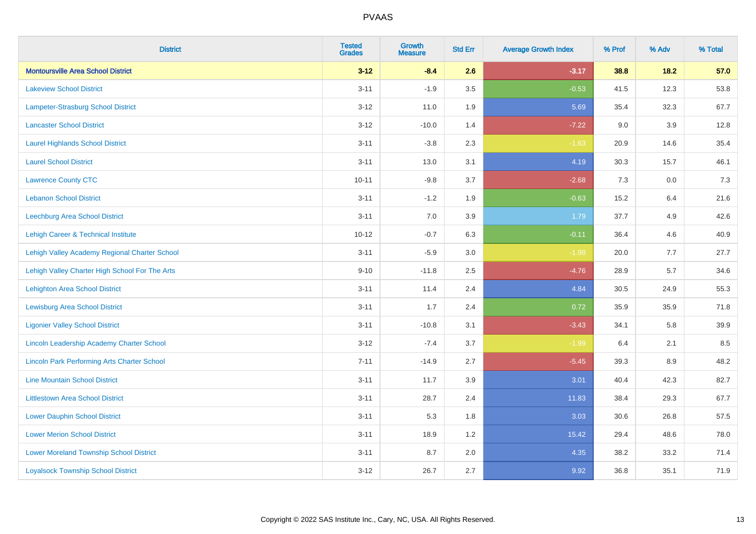| <b>District</b>                                    | <b>Tested</b><br><b>Grades</b> | <b>Growth</b><br><b>Measure</b> | <b>Std Err</b> | <b>Average Growth Index</b> | % Prof | % Adv | % Total |
|----------------------------------------------------|--------------------------------|---------------------------------|----------------|-----------------------------|--------|-------|---------|
| <b>Montoursville Area School District</b>          | $3 - 12$                       | $-8.4$                          | 2.6            | $-3.17$                     | 38.8   | 18.2  | 57.0    |
| <b>Lakeview School District</b>                    | $3 - 11$                       | $-1.9$                          | 3.5            | $-0.53$                     | 41.5   | 12.3  | 53.8    |
| <b>Lampeter-Strasburg School District</b>          | $3 - 12$                       | 11.0                            | 1.9            | 5.69                        | 35.4   | 32.3  | 67.7    |
| <b>Lancaster School District</b>                   | $3 - 12$                       | $-10.0$                         | 1.4            | $-7.22$                     | 9.0    | 3.9   | 12.8    |
| <b>Laurel Highlands School District</b>            | $3 - 11$                       | $-3.8$                          | 2.3            | $-1.63$                     | 20.9   | 14.6  | 35.4    |
| <b>Laurel School District</b>                      | $3 - 11$                       | 13.0                            | 3.1            | 4.19                        | 30.3   | 15.7  | 46.1    |
| <b>Lawrence County CTC</b>                         | $10 - 11$                      | $-9.8$                          | 3.7            | $-2.68$                     | 7.3    | 0.0   | 7.3     |
| <b>Lebanon School District</b>                     | $3 - 11$                       | $-1.2$                          | 1.9            | $-0.63$                     | 15.2   | 6.4   | 21.6    |
| Leechburg Area School District                     | $3 - 11$                       | 7.0                             | 3.9            | 1.79                        | 37.7   | 4.9   | 42.6    |
| Lehigh Career & Technical Institute                | $10 - 12$                      | $-0.7$                          | 6.3            | $-0.11$                     | 36.4   | 4.6   | 40.9    |
| Lehigh Valley Academy Regional Charter School      | $3 - 11$                       | $-5.9$                          | 3.0            | $-1.98$                     | 20.0   | 7.7   | 27.7    |
| Lehigh Valley Charter High School For The Arts     | $9 - 10$                       | $-11.8$                         | 2.5            | $-4.76$                     | 28.9   | 5.7   | 34.6    |
| <b>Lehighton Area School District</b>              | $3 - 11$                       | 11.4                            | 2.4            | 4.84                        | 30.5   | 24.9  | 55.3    |
| <b>Lewisburg Area School District</b>              | $3 - 11$                       | 1.7                             | 2.4            | 0.72                        | 35.9   | 35.9  | 71.8    |
| <b>Ligonier Valley School District</b>             | $3 - 11$                       | $-10.8$                         | 3.1            | $-3.43$                     | 34.1   | 5.8   | 39.9    |
| <b>Lincoln Leadership Academy Charter School</b>   | $3 - 12$                       | $-7.4$                          | 3.7            | $-1.99$                     | 6.4    | 2.1   | 8.5     |
| <b>Lincoln Park Performing Arts Charter School</b> | $7 - 11$                       | $-14.9$                         | 2.7            | $-5.45$                     | 39.3   | 8.9   | 48.2    |
| <b>Line Mountain School District</b>               | $3 - 11$                       | 11.7                            | 3.9            | 3.01                        | 40.4   | 42.3  | 82.7    |
| <b>Littlestown Area School District</b>            | $3 - 11$                       | 28.7                            | 2.4            | 11.83                       | 38.4   | 29.3  | 67.7    |
| <b>Lower Dauphin School District</b>               | $3 - 11$                       | 5.3                             | 1.8            | 3.03                        | 30.6   | 26.8  | 57.5    |
| <b>Lower Merion School District</b>                | $3 - 11$                       | 18.9                            | 1.2            | 15.42                       | 29.4   | 48.6  | 78.0    |
| <b>Lower Moreland Township School District</b>     | $3 - 11$                       | 8.7                             | 2.0            | 4.35                        | 38.2   | 33.2  | 71.4    |
| <b>Loyalsock Township School District</b>          | $3 - 12$                       | 26.7                            | 2.7            | 9.92                        | 36.8   | 35.1  | 71.9    |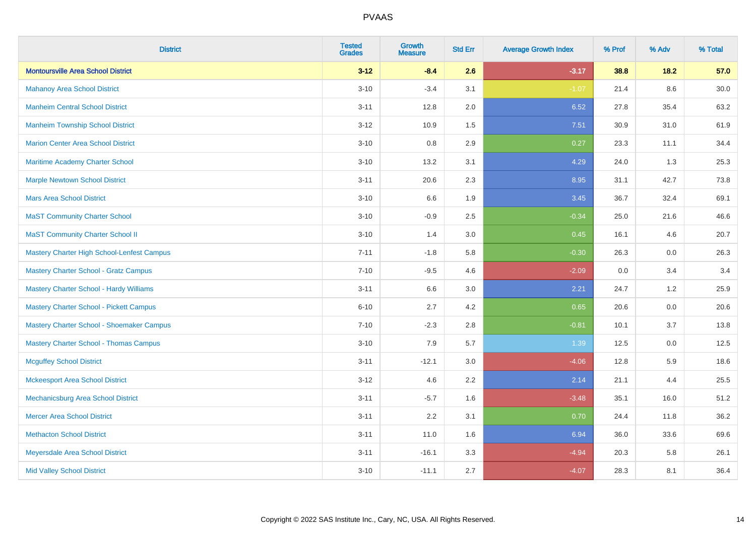| <b>District</b>                                | <b>Tested</b><br><b>Grades</b> | <b>Growth</b><br><b>Measure</b> | <b>Std Err</b> | <b>Average Growth Index</b> | % Prof | % Adv   | % Total  |
|------------------------------------------------|--------------------------------|---------------------------------|----------------|-----------------------------|--------|---------|----------|
| <b>Montoursville Area School District</b>      | $3 - 12$                       | $-8.4$                          | 2.6            | $-3.17$                     | 38.8   | 18.2    | 57.0     |
| <b>Mahanoy Area School District</b>            | $3 - 10$                       | $-3.4$                          | 3.1            | $-1.07$                     | 21.4   | $8.6\,$ | $30.0\,$ |
| <b>Manheim Central School District</b>         | $3 - 11$                       | 12.8                            | 2.0            | 6.52                        | 27.8   | 35.4    | 63.2     |
| <b>Manheim Township School District</b>        | $3 - 12$                       | 10.9                            | 1.5            | 7.51                        | 30.9   | 31.0    | 61.9     |
| <b>Marion Center Area School District</b>      | $3 - 10$                       | 0.8                             | 2.9            | 0.27                        | 23.3   | 11.1    | 34.4     |
| Maritime Academy Charter School                | $3 - 10$                       | 13.2                            | 3.1            | 4.29                        | 24.0   | 1.3     | 25.3     |
| <b>Marple Newtown School District</b>          | $3 - 11$                       | 20.6                            | 2.3            | 8.95                        | 31.1   | 42.7    | 73.8     |
| <b>Mars Area School District</b>               | $3 - 10$                       | 6.6                             | 1.9            | 3.45                        | 36.7   | 32.4    | 69.1     |
| <b>MaST Community Charter School</b>           | $3 - 10$                       | $-0.9$                          | 2.5            | $-0.34$                     | 25.0   | 21.6    | 46.6     |
| <b>MaST Community Charter School II</b>        | $3 - 10$                       | 1.4                             | 3.0            | 0.45                        | 16.1   | 4.6     | 20.7     |
| Mastery Charter High School-Lenfest Campus     | $7 - 11$                       | $-1.8$                          | 5.8            | $-0.30$                     | 26.3   | 0.0     | 26.3     |
| <b>Mastery Charter School - Gratz Campus</b>   | $7 - 10$                       | $-9.5$                          | 4.6            | $-2.09$                     | 0.0    | 3.4     | 3.4      |
| Mastery Charter School - Hardy Williams        | $3 - 11$                       | 6.6                             | 3.0            | 2.21                        | 24.7   | 1.2     | 25.9     |
| <b>Mastery Charter School - Pickett Campus</b> | $6 - 10$                       | 2.7                             | 4.2            | 0.65                        | 20.6   | 0.0     | 20.6     |
| Mastery Charter School - Shoemaker Campus      | $7 - 10$                       | $-2.3$                          | 2.8            | $-0.81$                     | 10.1   | 3.7     | 13.8     |
| <b>Mastery Charter School - Thomas Campus</b>  | $3 - 10$                       | 7.9                             | 5.7            | 1.39                        | 12.5   | $0.0\,$ | 12.5     |
| <b>Mcguffey School District</b>                | $3 - 11$                       | $-12.1$                         | 3.0            | $-4.06$                     | 12.8   | 5.9     | 18.6     |
| <b>Mckeesport Area School District</b>         | $3 - 12$                       | 4.6                             | 2.2            | 2.14                        | 21.1   | 4.4     | 25.5     |
| Mechanicsburg Area School District             | $3 - 11$                       | $-5.7$                          | 1.6            | $-3.48$                     | 35.1   | 16.0    | 51.2     |
| <b>Mercer Area School District</b>             | $3 - 11$                       | 2.2                             | 3.1            | 0.70                        | 24.4   | 11.8    | 36.2     |
| <b>Methacton School District</b>               | $3 - 11$                       | 11.0                            | 1.6            | 6.94                        | 36.0   | 33.6    | 69.6     |
| Meyersdale Area School District                | $3 - 11$                       | $-16.1$                         | 3.3            | $-4.94$                     | 20.3   | 5.8     | 26.1     |
| <b>Mid Valley School District</b>              | $3 - 10$                       | $-11.1$                         | 2.7            | $-4.07$                     | 28.3   | 8.1     | 36.4     |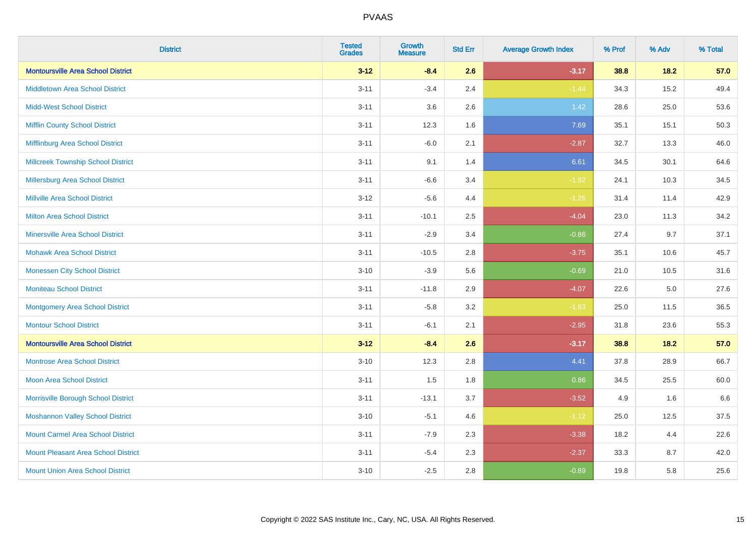| <b>District</b>                            | <b>Tested</b><br><b>Grades</b> | <b>Growth</b><br><b>Measure</b> | <b>Std Err</b> | <b>Average Growth Index</b> | % Prof | % Adv  | % Total |
|--------------------------------------------|--------------------------------|---------------------------------|----------------|-----------------------------|--------|--------|---------|
| <b>Montoursville Area School District</b>  | $3 - 12$                       | $-8.4$                          | 2.6            | $-3.17$                     | 38.8   | 18.2   | 57.0    |
| Middletown Area School District            | $3 - 11$                       | $-3.4$                          | 2.4            | $-1.44$                     | 34.3   | 15.2   | 49.4    |
| <b>Midd-West School District</b>           | $3 - 11$                       | 3.6                             | 2.6            | 1.42                        | 28.6   | 25.0   | 53.6    |
| <b>Mifflin County School District</b>      | $3 - 11$                       | 12.3                            | 1.6            | 7.69                        | 35.1   | 15.1   | 50.3    |
| Mifflinburg Area School District           | $3 - 11$                       | $-6.0$                          | 2.1            | $-2.87$                     | 32.7   | 13.3   | 46.0    |
| <b>Millcreek Township School District</b>  | $3 - 11$                       | 9.1                             | 1.4            | 6.61                        | 34.5   | 30.1   | 64.6    |
| <b>Millersburg Area School District</b>    | $3 - 11$                       | $-6.6$                          | 3.4            | $-1.92$                     | 24.1   | 10.3   | 34.5    |
| <b>Millville Area School District</b>      | $3 - 12$                       | $-5.6$                          | 4.4            | $-1.26$                     | 31.4   | 11.4   | 42.9    |
| <b>Milton Area School District</b>         | $3 - 11$                       | $-10.1$                         | 2.5            | $-4.04$                     | 23.0   | 11.3   | 34.2    |
| <b>Minersville Area School District</b>    | $3 - 11$                       | $-2.9$                          | 3.4            | $-0.86$                     | 27.4   | 9.7    | 37.1    |
| <b>Mohawk Area School District</b>         | $3 - 11$                       | $-10.5$                         | 2.8            | $-3.75$                     | 35.1   | 10.6   | 45.7    |
| <b>Monessen City School District</b>       | $3 - 10$                       | $-3.9$                          | 5.6            | $-0.69$                     | 21.0   | 10.5   | 31.6    |
| <b>Moniteau School District</b>            | $3 - 11$                       | $-11.8$                         | 2.9            | $-4.07$                     | 22.6   | 5.0    | 27.6    |
| <b>Montgomery Area School District</b>     | $3 - 11$                       | $-5.8$                          | 3.2            | $-1.83$                     | 25.0   | 11.5   | 36.5    |
| <b>Montour School District</b>             | $3 - 11$                       | $-6.1$                          | 2.1            | $-2.95$                     | 31.8   | 23.6   | 55.3    |
| <b>Montoursville Area School District</b>  | $3 - 12$                       | $-8.4$                          | 2.6            | $-3.17$                     | 38.8   | $18.2$ | 57.0    |
| <b>Montrose Area School District</b>       | $3 - 10$                       | 12.3                            | 2.8            | 4.41                        | 37.8   | 28.9   | 66.7    |
| Moon Area School District                  | $3 - 11$                       | 1.5                             | 1.8            | 0.86                        | 34.5   | 25.5   | 60.0    |
| Morrisville Borough School District        | $3 - 11$                       | $-13.1$                         | 3.7            | $-3.52$                     | 4.9    | 1.6    | 6.6     |
| <b>Moshannon Valley School District</b>    | $3 - 10$                       | $-5.1$                          | 4.6            | $-1.12$                     | 25.0   | 12.5   | 37.5    |
| <b>Mount Carmel Area School District</b>   | $3 - 11$                       | $-7.9$                          | 2.3            | $-3.38$                     | 18.2   | 4.4    | 22.6    |
| <b>Mount Pleasant Area School District</b> | $3 - 11$                       | $-5.4$                          | 2.3            | $-2.37$                     | 33.3   | 8.7    | 42.0    |
| <b>Mount Union Area School District</b>    | $3 - 10$                       | $-2.5$                          | 2.8            | $-0.89$                     | 19.8   | 5.8    | 25.6    |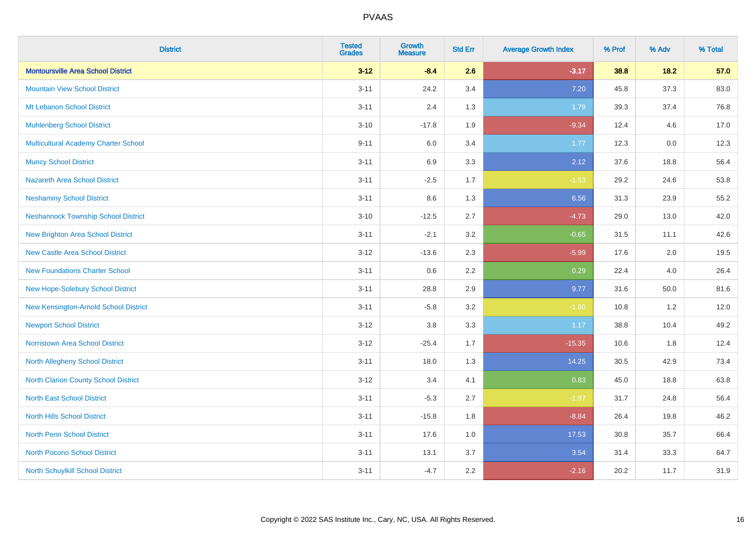| <b>District</b>                             | <b>Tested</b><br><b>Grades</b> | <b>Growth</b><br><b>Measure</b> | <b>Std Err</b> | <b>Average Growth Index</b> | % Prof | % Adv | % Total |
|---------------------------------------------|--------------------------------|---------------------------------|----------------|-----------------------------|--------|-------|---------|
| <b>Montoursville Area School District</b>   | $3 - 12$                       | $-8.4$                          | 2.6            | $-3.17$                     | 38.8   | 18.2  | 57.0    |
| <b>Mountain View School District</b>        | $3 - 11$                       | 24.2                            | 3.4            | 7.20                        | 45.8   | 37.3  | 83.0    |
| Mt Lebanon School District                  | $3 - 11$                       | 2.4                             | 1.3            | 1.79                        | 39.3   | 37.4  | 76.8    |
| <b>Muhlenberg School District</b>           | $3 - 10$                       | $-17.8$                         | 1.9            | $-9.34$                     | 12.4   | 4.6   | 17.0    |
| <b>Multicultural Academy Charter School</b> | $9 - 11$                       | 6.0                             | 3.4            | 1.77                        | 12.3   | 0.0   | 12.3    |
| <b>Muncy School District</b>                | $3 - 11$                       | 6.9                             | 3.3            | 2.12                        | 37.6   | 18.8  | 56.4    |
| <b>Nazareth Area School District</b>        | $3 - 11$                       | $-2.5$                          | 1.7            | $-1.53$                     | 29.2   | 24.6  | 53.8    |
| <b>Neshaminy School District</b>            | $3 - 11$                       | $8.6\,$                         | 1.3            | 6.56                        | 31.3   | 23.9  | 55.2    |
| <b>Neshannock Township School District</b>  | $3 - 10$                       | $-12.5$                         | 2.7            | $-4.73$                     | 29.0   | 13.0  | 42.0    |
| <b>New Brighton Area School District</b>    | $3 - 11$                       | $-2.1$                          | 3.2            | $-0.65$                     | 31.5   | 11.1  | 42.6    |
| <b>New Castle Area School District</b>      | $3 - 12$                       | $-13.6$                         | 2.3            | $-5.99$                     | 17.6   | 2.0   | 19.5    |
| <b>New Foundations Charter School</b>       | $3 - 11$                       | $0.6\,$                         | 2.2            | 0.29                        | 22.4   | 4.0   | 26.4    |
| New Hope-Solebury School District           | $3 - 11$                       | 28.8                            | 2.9            | 9.77                        | 31.6   | 50.0  | 81.6    |
| New Kensington-Arnold School District       | $3 - 11$                       | $-5.8$                          | 3.2            | $-1.80$                     | 10.8   | 1.2   | 12.0    |
| <b>Newport School District</b>              | $3 - 12$                       | $3.8\,$                         | 3.3            | 1.17                        | 38.8   | 10.4  | 49.2    |
| <b>Norristown Area School District</b>      | $3 - 12$                       | $-25.4$                         | 1.7            | $-15.35$                    | 10.6   | 1.8   | 12.4    |
| <b>North Allegheny School District</b>      | $3 - 11$                       | 18.0                            | 1.3            | 14.25                       | 30.5   | 42.9  | 73.4    |
| <b>North Clarion County School District</b> | $3 - 12$                       | 3.4                             | 4.1            | 0.83                        | 45.0   | 18.8  | 63.8    |
| <b>North East School District</b>           | $3 - 11$                       | $-5.3$                          | 2.7            | $-1.97$                     | 31.7   | 24.8  | 56.4    |
| <b>North Hills School District</b>          | $3 - 11$                       | $-15.8$                         | 1.8            | $-8.84$                     | 26.4   | 19.8  | 46.2    |
| <b>North Penn School District</b>           | $3 - 11$                       | 17.6                            | 1.0            | 17.53                       | 30.8   | 35.7  | 66.4    |
| <b>North Pocono School District</b>         | $3 - 11$                       | 13.1                            | 3.7            | 3.54                        | 31.4   | 33.3  | 64.7    |
| North Schuylkill School District            | $3 - 11$                       | $-4.7$                          | 2.2            | $-2.16$                     | 20.2   | 11.7  | 31.9    |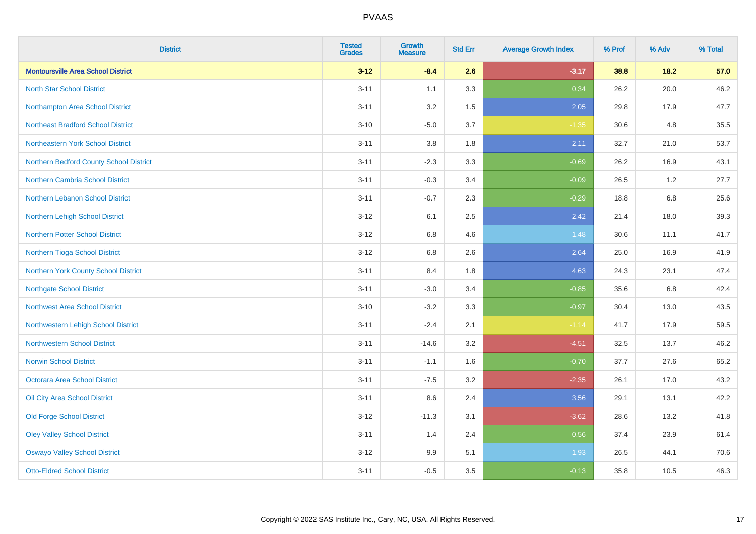| <b>District</b>                           | <b>Tested</b><br><b>Grades</b> | Growth<br><b>Measure</b> | <b>Std Err</b> | <b>Average Growth Index</b> | % Prof | % Adv  | % Total |
|-------------------------------------------|--------------------------------|--------------------------|----------------|-----------------------------|--------|--------|---------|
| <b>Montoursville Area School District</b> | $3 - 12$                       | $-8.4$                   | 2.6            | $-3.17$                     | 38.8   | $18.2$ | 57.0    |
| <b>North Star School District</b>         | $3 - 11$                       | 1.1                      | 3.3            | 0.34                        | 26.2   | 20.0   | 46.2    |
| Northampton Area School District          | $3 - 11$                       | 3.2                      | 1.5            | 2.05                        | 29.8   | 17.9   | 47.7    |
| <b>Northeast Bradford School District</b> | $3 - 10$                       | $-5.0$                   | 3.7            | $-1.35$                     | 30.6   | 4.8    | 35.5    |
| Northeastern York School District         | $3 - 11$                       | 3.8                      | 1.8            | 2.11                        | 32.7   | 21.0   | 53.7    |
| Northern Bedford County School District   | $3 - 11$                       | $-2.3$                   | 3.3            | $-0.69$                     | 26.2   | 16.9   | 43.1    |
| Northern Cambria School District          | $3 - 11$                       | $-0.3$                   | 3.4            | $-0.09$                     | 26.5   | 1.2    | 27.7    |
| <b>Northern Lebanon School District</b>   | $3 - 11$                       | $-0.7$                   | 2.3            | $-0.29$                     | 18.8   | 6.8    | 25.6    |
| Northern Lehigh School District           | $3 - 12$                       | 6.1                      | 2.5            | 2.42                        | 21.4   | 18.0   | 39.3    |
| <b>Northern Potter School District</b>    | $3 - 12$                       | 6.8                      | 4.6            | 1.48                        | 30.6   | 11.1   | 41.7    |
| Northern Tioga School District            | $3 - 12$                       | $6.8\,$                  | 2.6            | 2.64                        | 25.0   | 16.9   | 41.9    |
| Northern York County School District      | $3 - 11$                       | 8.4                      | 1.8            | 4.63                        | 24.3   | 23.1   | 47.4    |
| <b>Northgate School District</b>          | $3 - 11$                       | $-3.0$                   | 3.4            | $-0.85$                     | 35.6   | 6.8    | 42.4    |
| Northwest Area School District            | $3 - 10$                       | $-3.2$                   | 3.3            | $-0.97$                     | 30.4   | 13.0   | 43.5    |
| Northwestern Lehigh School District       | $3 - 11$                       | $-2.4$                   | 2.1            | $-1.14$                     | 41.7   | 17.9   | 59.5    |
| <b>Northwestern School District</b>       | $3 - 11$                       | $-14.6$                  | 3.2            | $-4.51$                     | 32.5   | 13.7   | 46.2    |
| <b>Norwin School District</b>             | $3 - 11$                       | $-1.1$                   | 1.6            | $-0.70$                     | 37.7   | 27.6   | 65.2    |
| <b>Octorara Area School District</b>      | $3 - 11$                       | $-7.5$                   | 3.2            | $-2.35$                     | 26.1   | 17.0   | 43.2    |
| Oil City Area School District             | $3 - 11$                       | 8.6                      | 2.4            | 3.56                        | 29.1   | 13.1   | 42.2    |
| <b>Old Forge School District</b>          | $3 - 12$                       | $-11.3$                  | 3.1            | $-3.62$                     | 28.6   | 13.2   | 41.8    |
| <b>Oley Valley School District</b>        | $3 - 11$                       | 1.4                      | 2.4            | 0.56                        | 37.4   | 23.9   | 61.4    |
| <b>Oswayo Valley School District</b>      | $3 - 12$                       | 9.9                      | 5.1            | 1.93                        | 26.5   | 44.1   | 70.6    |
| <b>Otto-Eldred School District</b>        | $3 - 11$                       | $-0.5$                   | 3.5            | $-0.13$                     | 35.8   | 10.5   | 46.3    |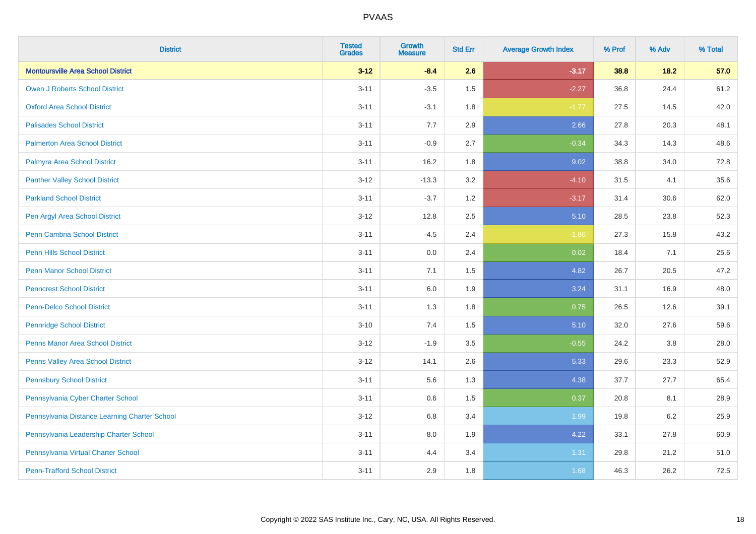| <b>District</b>                               | <b>Tested</b><br><b>Grades</b> | <b>Growth</b><br><b>Measure</b> | <b>Std Err</b> | <b>Average Growth Index</b> | % Prof | % Adv   | % Total |
|-----------------------------------------------|--------------------------------|---------------------------------|----------------|-----------------------------|--------|---------|---------|
| <b>Montoursville Area School District</b>     | $3 - 12$                       | $-8.4$                          | 2.6            | $-3.17$                     | 38.8   | 18.2    | 57.0    |
| <b>Owen J Roberts School District</b>         | $3 - 11$                       | $-3.5$                          | 1.5            | $-2.27$                     | 36.8   | 24.4    | 61.2    |
| <b>Oxford Area School District</b>            | $3 - 11$                       | $-3.1$                          | 1.8            | $-1.77$                     | 27.5   | 14.5    | 42.0    |
| <b>Palisades School District</b>              | $3 - 11$                       | 7.7                             | 2.9            | 2.66                        | 27.8   | 20.3    | 48.1    |
| <b>Palmerton Area School District</b>         | $3 - 11$                       | $-0.9$                          | 2.7            | $-0.34$                     | 34.3   | 14.3    | 48.6    |
| Palmyra Area School District                  | $3 - 11$                       | 16.2                            | 1.8            | 9.02                        | 38.8   | 34.0    | 72.8    |
| <b>Panther Valley School District</b>         | $3 - 12$                       | $-13.3$                         | 3.2            | $-4.10$                     | 31.5   | 4.1     | 35.6    |
| <b>Parkland School District</b>               | $3 - 11$                       | $-3.7$                          | 1.2            | $-3.17$                     | 31.4   | 30.6    | 62.0    |
| Pen Argyl Area School District                | $3 - 12$                       | 12.8                            | 2.5            | 5.10                        | 28.5   | 23.8    | 52.3    |
| Penn Cambria School District                  | $3 - 11$                       | $-4.5$                          | 2.4            | $-1.86$                     | 27.3   | 15.8    | 43.2    |
| <b>Penn Hills School District</b>             | $3 - 11$                       | 0.0                             | 2.4            | 0.02                        | 18.4   | 7.1     | 25.6    |
| <b>Penn Manor School District</b>             | $3 - 11$                       | 7.1                             | 1.5            | 4.82                        | 26.7   | 20.5    | 47.2    |
| <b>Penncrest School District</b>              | $3 - 11$                       | 6.0                             | 1.9            | 3.24                        | 31.1   | 16.9    | 48.0    |
| <b>Penn-Delco School District</b>             | $3 - 11$                       | 1.3                             | 1.8            | 0.75                        | 26.5   | 12.6    | 39.1    |
| <b>Pennridge School District</b>              | $3 - 10$                       | 7.4                             | 1.5            | 5.10                        | 32.0   | 27.6    | 59.6    |
| <b>Penns Manor Area School District</b>       | $3 - 12$                       | $-1.9$                          | $3.5\,$        | $-0.55$                     | 24.2   | $3.8\,$ | 28.0    |
| Penns Valley Area School District             | $3 - 12$                       | 14.1                            | 2.6            | 5.33                        | 29.6   | 23.3    | 52.9    |
| <b>Pennsbury School District</b>              | $3 - 11$                       | 5.6                             | 1.3            | 4.38                        | 37.7   | 27.7    | 65.4    |
| Pennsylvania Cyber Charter School             | $3 - 11$                       | 0.6                             | 1.5            | 0.37                        | 20.8   | 8.1     | 28.9    |
| Pennsylvania Distance Learning Charter School | $3 - 12$                       | 6.8                             | 3.4            | 1.99                        | 19.8   | 6.2     | 25.9    |
| Pennsylvania Leadership Charter School        | $3 - 11$                       | 8.0                             | 1.9            | 4.22                        | 33.1   | 27.8    | 60.9    |
| Pennsylvania Virtual Charter School           | $3 - 11$                       | 4.4                             | 3.4            | 1.31                        | 29.8   | 21.2    | 51.0    |
| <b>Penn-Trafford School District</b>          | $3 - 11$                       | 2.9                             | 1.8            | 1.68                        | 46.3   | 26.2    | 72.5    |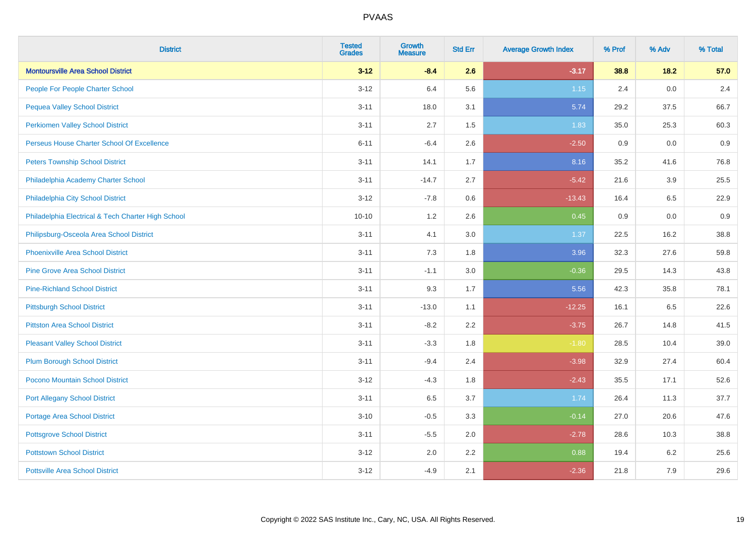| <b>District</b>                                    | <b>Tested</b><br><b>Grades</b> | <b>Growth</b><br><b>Measure</b> | <b>Std Err</b> | <b>Average Growth Index</b> | % Prof | % Adv   | % Total |
|----------------------------------------------------|--------------------------------|---------------------------------|----------------|-----------------------------|--------|---------|---------|
| <b>Montoursville Area School District</b>          | $3 - 12$                       | $-8.4$                          | 2.6            | $-3.17$                     | 38.8   | 18.2    | 57.0    |
| People For People Charter School                   | $3 - 12$                       | 6.4                             | 5.6            | $1.15$                      | 2.4    | 0.0     | 2.4     |
| <b>Pequea Valley School District</b>               | $3 - 11$                       | 18.0                            | 3.1            | 5.74                        | 29.2   | 37.5    | 66.7    |
| <b>Perkiomen Valley School District</b>            | $3 - 11$                       | 2.7                             | 1.5            | 1.83                        | 35.0   | 25.3    | 60.3    |
| Perseus House Charter School Of Excellence         | $6 - 11$                       | $-6.4$                          | 2.6            | $-2.50$                     | 0.9    | 0.0     | 0.9     |
| <b>Peters Township School District</b>             | $3 - 11$                       | 14.1                            | 1.7            | 8.16                        | 35.2   | 41.6    | 76.8    |
| Philadelphia Academy Charter School                | $3 - 11$                       | $-14.7$                         | 2.7            | $-5.42$                     | 21.6   | 3.9     | 25.5    |
| Philadelphia City School District                  | $3 - 12$                       | $-7.8$                          | 0.6            | $-13.43$                    | 16.4   | 6.5     | 22.9    |
| Philadelphia Electrical & Tech Charter High School | $10 - 10$                      | 1.2                             | 2.6            | 0.45                        | 0.9    | 0.0     | 0.9     |
| Philipsburg-Osceola Area School District           | $3 - 11$                       | 4.1                             | 3.0            | 1.37                        | 22.5   | 16.2    | 38.8    |
| Phoenixville Area School District                  | $3 - 11$                       | 7.3                             | 1.8            | 3.96                        | 32.3   | 27.6    | 59.8    |
| <b>Pine Grove Area School District</b>             | $3 - 11$                       | $-1.1$                          | 3.0            | $-0.36$                     | 29.5   | 14.3    | 43.8    |
| <b>Pine-Richland School District</b>               | $3 - 11$                       | 9.3                             | 1.7            | 5.56                        | 42.3   | 35.8    | 78.1    |
| <b>Pittsburgh School District</b>                  | $3 - 11$                       | $-13.0$                         | 1.1            | $-12.25$                    | 16.1   | 6.5     | 22.6    |
| <b>Pittston Area School District</b>               | $3 - 11$                       | $-8.2$                          | 2.2            | $-3.75$                     | 26.7   | 14.8    | 41.5    |
| <b>Pleasant Valley School District</b>             | $3 - 11$                       | $-3.3$                          | 1.8            | $-1.80$                     | 28.5   | 10.4    | 39.0    |
| <b>Plum Borough School District</b>                | $3 - 11$                       | $-9.4$                          | 2.4            | $-3.98$                     | 32.9   | 27.4    | 60.4    |
| Pocono Mountain School District                    | $3 - 12$                       | $-4.3$                          | 1.8            | $-2.43$                     | 35.5   | 17.1    | 52.6    |
| <b>Port Allegany School District</b>               | $3 - 11$                       | 6.5                             | 3.7            | 1.74                        | 26.4   | 11.3    | 37.7    |
| <b>Portage Area School District</b>                | $3 - 10$                       | $-0.5$                          | 3.3            | $-0.14$                     | 27.0   | 20.6    | 47.6    |
| <b>Pottsgrove School District</b>                  | $3 - 11$                       | $-5.5$                          | 2.0            | $-2.78$                     | 28.6   | 10.3    | 38.8    |
| <b>Pottstown School District</b>                   | $3 - 12$                       | 2.0                             | 2.2            | 0.88                        | 19.4   | $6.2\,$ | 25.6    |
| <b>Pottsville Area School District</b>             | $3 - 12$                       | $-4.9$                          | 2.1            | $-2.36$                     | 21.8   | 7.9     | 29.6    |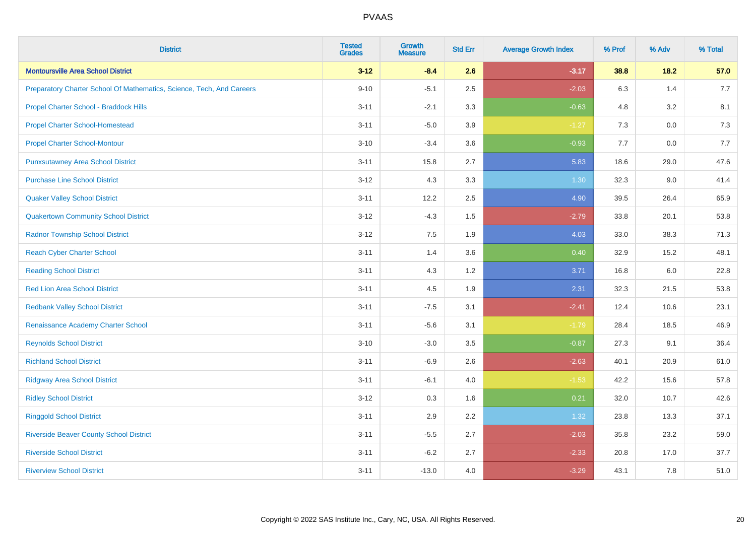| <b>District</b>                                                       | <b>Tested</b><br><b>Grades</b> | <b>Growth</b><br><b>Measure</b> | <b>Std Err</b> | <b>Average Growth Index</b> | % Prof | % Adv   | % Total |
|-----------------------------------------------------------------------|--------------------------------|---------------------------------|----------------|-----------------------------|--------|---------|---------|
| <b>Montoursville Area School District</b>                             | $3 - 12$                       | $-8.4$                          | 2.6            | $-3.17$                     | 38.8   | 18.2    | 57.0    |
| Preparatory Charter School Of Mathematics, Science, Tech, And Careers | $9 - 10$                       | $-5.1$                          | 2.5            | $-2.03$                     | 6.3    | 1.4     | 7.7     |
| Propel Charter School - Braddock Hills                                | $3 - 11$                       | $-2.1$                          | 3.3            | $-0.63$                     | 4.8    | 3.2     | 8.1     |
| <b>Propel Charter School-Homestead</b>                                | $3 - 11$                       | $-5.0$                          | 3.9            | $-1.27$                     | 7.3    | $0.0\,$ | 7.3     |
| <b>Propel Charter School-Montour</b>                                  | $3 - 10$                       | $-3.4$                          | 3.6            | $-0.93$                     | 7.7    | 0.0     | 7.7     |
| <b>Punxsutawney Area School District</b>                              | $3 - 11$                       | 15.8                            | 2.7            | 5.83                        | 18.6   | 29.0    | 47.6    |
| <b>Purchase Line School District</b>                                  | $3 - 12$                       | 4.3                             | 3.3            | 1.30                        | 32.3   | 9.0     | 41.4    |
| <b>Quaker Valley School District</b>                                  | $3 - 11$                       | 12.2                            | 2.5            | 4.90                        | 39.5   | 26.4    | 65.9    |
| <b>Quakertown Community School District</b>                           | $3 - 12$                       | $-4.3$                          | 1.5            | $-2.79$                     | 33.8   | 20.1    | 53.8    |
| <b>Radnor Township School District</b>                                | $3 - 12$                       | 7.5                             | 1.9            | 4.03                        | 33.0   | 38.3    | 71.3    |
| <b>Reach Cyber Charter School</b>                                     | $3 - 11$                       | 1.4                             | 3.6            | 0.40                        | 32.9   | 15.2    | 48.1    |
| <b>Reading School District</b>                                        | $3 - 11$                       | 4.3                             | 1.2            | 3.71                        | 16.8   | 6.0     | 22.8    |
| <b>Red Lion Area School District</b>                                  | $3 - 11$                       | 4.5                             | 1.9            | 2.31                        | 32.3   | 21.5    | 53.8    |
| <b>Redbank Valley School District</b>                                 | $3 - 11$                       | $-7.5$                          | 3.1            | $-2.41$                     | 12.4   | 10.6    | 23.1    |
| Renaissance Academy Charter School                                    | $3 - 11$                       | $-5.6$                          | 3.1            | $-1.79$                     | 28.4   | 18.5    | 46.9    |
| <b>Reynolds School District</b>                                       | $3 - 10$                       | $-3.0$                          | 3.5            | $-0.87$                     | 27.3   | 9.1     | 36.4    |
| <b>Richland School District</b>                                       | $3 - 11$                       | $-6.9$                          | 2.6            | $-2.63$                     | 40.1   | 20.9    | 61.0    |
| <b>Ridgway Area School District</b>                                   | $3 - 11$                       | $-6.1$                          | 4.0            | $-1.53$                     | 42.2   | 15.6    | 57.8    |
| <b>Ridley School District</b>                                         | $3 - 12$                       | 0.3                             | 1.6            | 0.21                        | 32.0   | 10.7    | 42.6    |
| <b>Ringgold School District</b>                                       | $3 - 11$                       | 2.9                             | 2.2            | 1.32                        | 23.8   | 13.3    | 37.1    |
| <b>Riverside Beaver County School District</b>                        | $3 - 11$                       | $-5.5$                          | 2.7            | $-2.03$                     | 35.8   | 23.2    | 59.0    |
| <b>Riverside School District</b>                                      | $3 - 11$                       | $-6.2$                          | 2.7            | $-2.33$                     | 20.8   | 17.0    | 37.7    |
| <b>Riverview School District</b>                                      | $3 - 11$                       | $-13.0$                         | 4.0            | $-3.29$                     | 43.1   | 7.8     | 51.0    |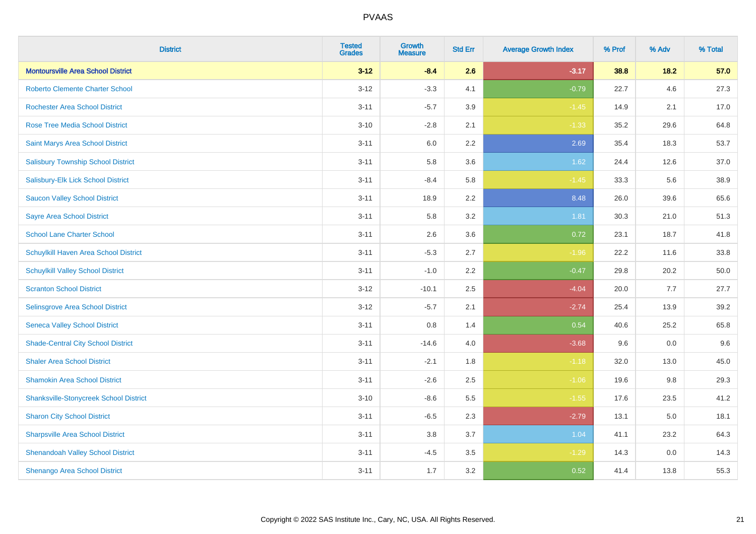| <b>District</b>                               | <b>Tested</b><br><b>Grades</b> | <b>Growth</b><br><b>Measure</b> | <b>Std Err</b> | <b>Average Growth Index</b> | % Prof | % Adv   | % Total |
|-----------------------------------------------|--------------------------------|---------------------------------|----------------|-----------------------------|--------|---------|---------|
| <b>Montoursville Area School District</b>     | $3 - 12$                       | $-8.4$                          | 2.6            | $-3.17$                     | 38.8   | 18.2    | 57.0    |
| <b>Roberto Clemente Charter School</b>        | $3 - 12$                       | $-3.3$                          | 4.1            | $-0.79$                     | 22.7   | 4.6     | 27.3    |
| <b>Rochester Area School District</b>         | $3 - 11$                       | $-5.7$                          | 3.9            | $-1.45$                     | 14.9   | 2.1     | 17.0    |
| <b>Rose Tree Media School District</b>        | $3 - 10$                       | $-2.8$                          | 2.1            | $-1.33$                     | 35.2   | 29.6    | 64.8    |
| Saint Marys Area School District              | $3 - 11$                       | 6.0                             | 2.2            | 2.69                        | 35.4   | 18.3    | 53.7    |
| <b>Salisbury Township School District</b>     | $3 - 11$                       | 5.8                             | 3.6            | 1.62                        | 24.4   | 12.6    | 37.0    |
| Salisbury-Elk Lick School District            | $3 - 11$                       | $-8.4$                          | 5.8            | $-1.45$                     | 33.3   | 5.6     | 38.9    |
| <b>Saucon Valley School District</b>          | $3 - 11$                       | 18.9                            | 2.2            | 8.48                        | 26.0   | 39.6    | 65.6    |
| <b>Sayre Area School District</b>             | $3 - 11$                       | 5.8                             | 3.2            | 1.81                        | 30.3   | 21.0    | 51.3    |
| <b>School Lane Charter School</b>             | $3 - 11$                       | 2.6                             | 3.6            | 0.72                        | 23.1   | 18.7    | 41.8    |
| Schuylkill Haven Area School District         | $3 - 11$                       | $-5.3$                          | 2.7            | $-1.96$                     | 22.2   | 11.6    | 33.8    |
| <b>Schuylkill Valley School District</b>      | $3 - 11$                       | $-1.0$                          | 2.2            | $-0.47$                     | 29.8   | 20.2    | 50.0    |
| <b>Scranton School District</b>               | $3 - 12$                       | $-10.1$                         | 2.5            | $-4.04$                     | 20.0   | 7.7     | 27.7    |
| <b>Selinsgrove Area School District</b>       | $3 - 12$                       | $-5.7$                          | 2.1            | $-2.74$                     | 25.4   | 13.9    | 39.2    |
| <b>Seneca Valley School District</b>          | $3 - 11$                       | 0.8                             | 1.4            | 0.54                        | 40.6   | 25.2    | 65.8    |
| <b>Shade-Central City School District</b>     | $3 - 11$                       | $-14.6$                         | 4.0            | $-3.68$                     | 9.6    | $0.0\,$ | 9.6     |
| <b>Shaler Area School District</b>            | $3 - 11$                       | $-2.1$                          | 1.8            | $-1.18$                     | 32.0   | 13.0    | 45.0    |
| <b>Shamokin Area School District</b>          | $3 - 11$                       | $-2.6$                          | 2.5            | $-1.06$                     | 19.6   | 9.8     | 29.3    |
| <b>Shanksville-Stonycreek School District</b> | $3 - 10$                       | $-8.6$                          | 5.5            | $-1.55$                     | 17.6   | 23.5    | 41.2    |
| <b>Sharon City School District</b>            | $3 - 11$                       | $-6.5$                          | 2.3            | $-2.79$                     | 13.1   | 5.0     | 18.1    |
| <b>Sharpsville Area School District</b>       | $3 - 11$                       | 3.8                             | 3.7            | 1.04                        | 41.1   | 23.2    | 64.3    |
| <b>Shenandoah Valley School District</b>      | $3 - 11$                       | $-4.5$                          | 3.5            | $-1.29$                     | 14.3   | 0.0     | 14.3    |
| Shenango Area School District                 | $3 - 11$                       | 1.7                             | 3.2            | 0.52                        | 41.4   | 13.8    | 55.3    |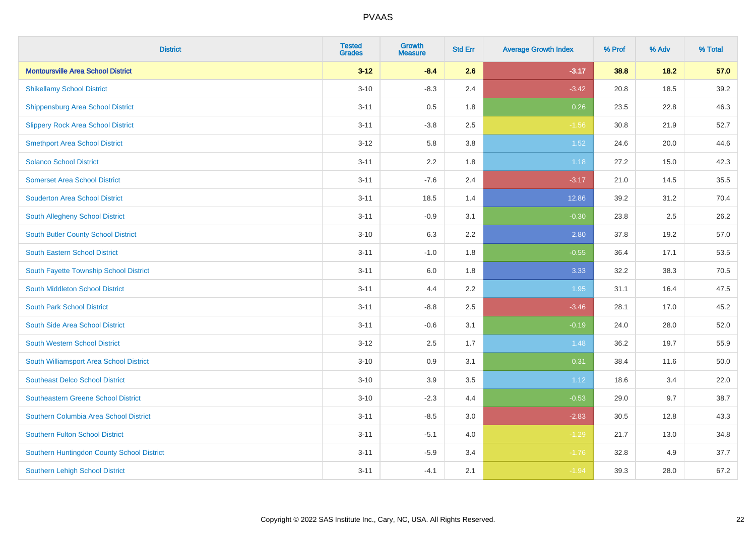| <b>District</b>                            | <b>Tested</b><br><b>Grades</b> | <b>Growth</b><br><b>Measure</b> | <b>Std Err</b> | <b>Average Growth Index</b> | % Prof | % Adv | % Total  |
|--------------------------------------------|--------------------------------|---------------------------------|----------------|-----------------------------|--------|-------|----------|
| <b>Montoursville Area School District</b>  | $3 - 12$                       | $-8.4$                          | 2.6            | $-3.17$                     | 38.8   | 18.2  | 57.0     |
| <b>Shikellamy School District</b>          | $3 - 10$                       | $-8.3$                          | 2.4            | $-3.42$                     | 20.8   | 18.5  | 39.2     |
| <b>Shippensburg Area School District</b>   | $3 - 11$                       | 0.5                             | 1.8            | 0.26                        | 23.5   | 22.8  | 46.3     |
| <b>Slippery Rock Area School District</b>  | $3 - 11$                       | $-3.8$                          | 2.5            | $-1.56$                     | 30.8   | 21.9  | 52.7     |
| <b>Smethport Area School District</b>      | $3 - 12$                       | 5.8                             | 3.8            | 1.52                        | 24.6   | 20.0  | 44.6     |
| <b>Solanco School District</b>             | $3 - 11$                       | 2.2                             | 1.8            | 1.18                        | 27.2   | 15.0  | 42.3     |
| <b>Somerset Area School District</b>       | $3 - 11$                       | $-7.6$                          | 2.4            | $-3.17$                     | 21.0   | 14.5  | 35.5     |
| <b>Souderton Area School District</b>      | $3 - 11$                       | 18.5                            | 1.4            | 12.86                       | 39.2   | 31.2  | 70.4     |
| <b>South Allegheny School District</b>     | $3 - 11$                       | $-0.9$                          | 3.1            | $-0.30$                     | 23.8   | 2.5   | 26.2     |
| South Butler County School District        | $3 - 10$                       | 6.3                             | 2.2            | 2.80                        | 37.8   | 19.2  | 57.0     |
| <b>South Eastern School District</b>       | $3 - 11$                       | $-1.0$                          | 1.8            | $-0.55$                     | 36.4   | 17.1  | 53.5     |
| South Fayette Township School District     | $3 - 11$                       | 6.0                             | 1.8            | 3.33                        | 32.2   | 38.3  | 70.5     |
| South Middleton School District            | $3 - 11$                       | 4.4                             | 2.2            | 1.95                        | 31.1   | 16.4  | 47.5     |
| <b>South Park School District</b>          | $3 - 11$                       | $-8.8$                          | 2.5            | $-3.46$                     | 28.1   | 17.0  | 45.2     |
| South Side Area School District            | $3 - 11$                       | $-0.6$                          | 3.1            | $-0.19$                     | 24.0   | 28.0  | 52.0     |
| <b>South Western School District</b>       | $3 - 12$                       | 2.5                             | 1.7            | 1.48                        | 36.2   | 19.7  | 55.9     |
| South Williamsport Area School District    | $3 - 10$                       | 0.9                             | 3.1            | 0.31                        | 38.4   | 11.6  | $50.0\,$ |
| <b>Southeast Delco School District</b>     | $3 - 10$                       | 3.9                             | 3.5            | 1.12                        | 18.6   | 3.4   | 22.0     |
| <b>Southeastern Greene School District</b> | $3 - 10$                       | $-2.3$                          | 4.4            | $-0.53$                     | 29.0   | 9.7   | 38.7     |
| Southern Columbia Area School District     | $3 - 11$                       | $-8.5$                          | 3.0            | $-2.83$                     | 30.5   | 12.8  | 43.3     |
| <b>Southern Fulton School District</b>     | $3 - 11$                       | $-5.1$                          | 4.0            | $-1.29$                     | 21.7   | 13.0  | 34.8     |
| Southern Huntingdon County School District | $3 - 11$                       | $-5.9$                          | 3.4            | $-1.76$                     | 32.8   | 4.9   | 37.7     |
| <b>Southern Lehigh School District</b>     | $3 - 11$                       | $-4.1$                          | 2.1            | $-1.94$                     | 39.3   | 28.0  | 67.2     |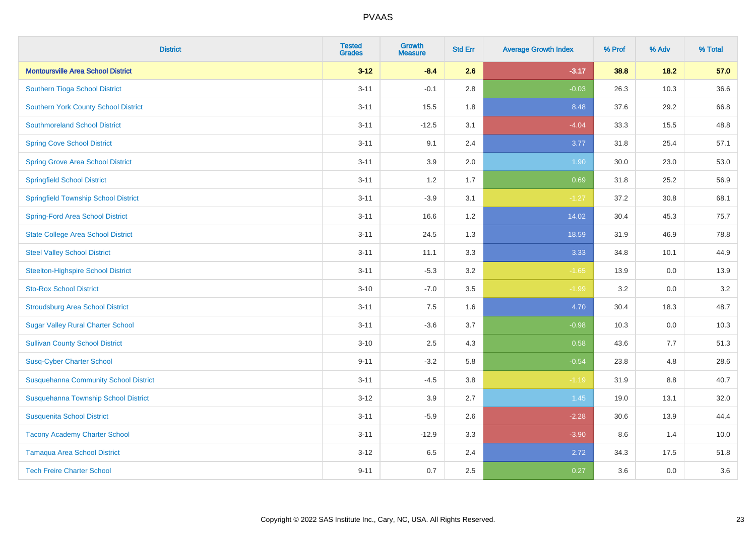| <b>District</b>                              | <b>Tested</b><br><b>Grades</b> | <b>Growth</b><br><b>Measure</b> | <b>Std Err</b> | <b>Average Growth Index</b> | % Prof | % Adv   | % Total |
|----------------------------------------------|--------------------------------|---------------------------------|----------------|-----------------------------|--------|---------|---------|
| <b>Montoursville Area School District</b>    | $3 - 12$                       | $-8.4$                          | 2.6            | $-3.17$                     | 38.8   | 18.2    | 57.0    |
| Southern Tioga School District               | $3 - 11$                       | $-0.1$                          | 2.8            | $-0.03$                     | 26.3   | 10.3    | 36.6    |
| <b>Southern York County School District</b>  | $3 - 11$                       | 15.5                            | 1.8            | 8.48                        | 37.6   | 29.2    | 66.8    |
| <b>Southmoreland School District</b>         | $3 - 11$                       | $-12.5$                         | 3.1            | $-4.04$                     | 33.3   | 15.5    | 48.8    |
| <b>Spring Cove School District</b>           | $3 - 11$                       | 9.1                             | 2.4            | 3.77                        | 31.8   | 25.4    | 57.1    |
| <b>Spring Grove Area School District</b>     | $3 - 11$                       | 3.9                             | 2.0            | 1.90                        | 30.0   | 23.0    | 53.0    |
| <b>Springfield School District</b>           | $3 - 11$                       | 1.2                             | 1.7            | 0.69                        | 31.8   | 25.2    | 56.9    |
| <b>Springfield Township School District</b>  | $3 - 11$                       | $-3.9$                          | 3.1            | $-1.27$                     | 37.2   | 30.8    | 68.1    |
| <b>Spring-Ford Area School District</b>      | $3 - 11$                       | 16.6                            | 1.2            | 14.02                       | 30.4   | 45.3    | 75.7    |
| <b>State College Area School District</b>    | $3 - 11$                       | 24.5                            | 1.3            | 18.59                       | 31.9   | 46.9    | 78.8    |
| <b>Steel Valley School District</b>          | $3 - 11$                       | 11.1                            | 3.3            | 3.33                        | 34.8   | 10.1    | 44.9    |
| <b>Steelton-Highspire School District</b>    | $3 - 11$                       | $-5.3$                          | 3.2            | $-1.65$                     | 13.9   | 0.0     | 13.9    |
| <b>Sto-Rox School District</b>               | $3 - 10$                       | $-7.0$                          | 3.5            | $-1.99$                     | 3.2    | $0.0\,$ | 3.2     |
| <b>Stroudsburg Area School District</b>      | $3 - 11$                       | 7.5                             | 1.6            | 4.70                        | 30.4   | 18.3    | 48.7    |
| <b>Sugar Valley Rural Charter School</b>     | $3 - 11$                       | $-3.6$                          | 3.7            | $-0.98$                     | 10.3   | 0.0     | 10.3    |
| <b>Sullivan County School District</b>       | $3 - 10$                       | 2.5                             | 4.3            | 0.58                        | 43.6   | 7.7     | 51.3    |
| <b>Susq-Cyber Charter School</b>             | $9 - 11$                       | $-3.2$                          | 5.8            | $-0.54$                     | 23.8   | 4.8     | 28.6    |
| <b>Susquehanna Community School District</b> | $3 - 11$                       | $-4.5$                          | 3.8            | $-1.19$                     | 31.9   | 8.8     | 40.7    |
| Susquehanna Township School District         | $3 - 12$                       | 3.9                             | 2.7            | 1.45                        | 19.0   | 13.1    | 32.0    |
| <b>Susquenita School District</b>            | $3 - 11$                       | $-5.9$                          | 2.6            | $-2.28$                     | 30.6   | 13.9    | 44.4    |
| <b>Tacony Academy Charter School</b>         | $3 - 11$                       | $-12.9$                         | 3.3            | $-3.90$                     | 8.6    | 1.4     | 10.0    |
| <b>Tamaqua Area School District</b>          | $3 - 12$                       | 6.5                             | 2.4            | 2.72                        | 34.3   | 17.5    | 51.8    |
| <b>Tech Freire Charter School</b>            | $9 - 11$                       | 0.7                             | 2.5            | 0.27                        | 3.6    | 0.0     | 3.6     |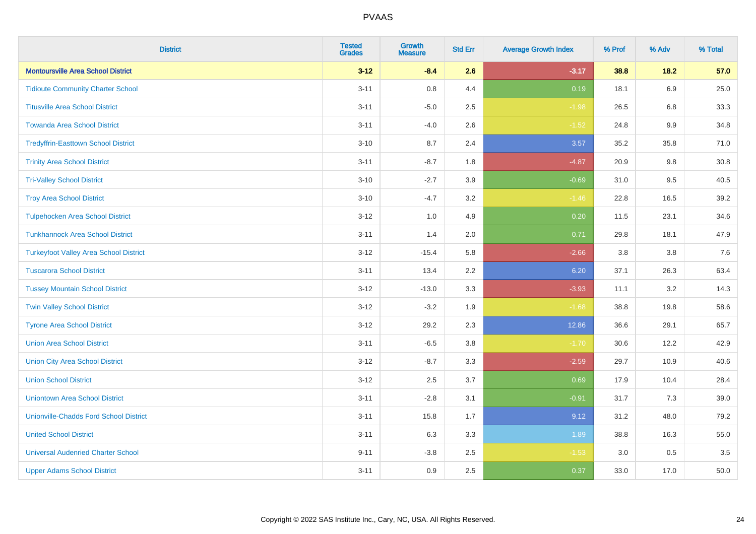| <b>District</b>                               | <b>Tested</b><br><b>Grades</b> | <b>Growth</b><br><b>Measure</b> | <b>Std Err</b> | <b>Average Growth Index</b> | % Prof | % Adv   | % Total |
|-----------------------------------------------|--------------------------------|---------------------------------|----------------|-----------------------------|--------|---------|---------|
| <b>Montoursville Area School District</b>     | $3 - 12$                       | $-8.4$                          | 2.6            | $-3.17$                     | 38.8   | 18.2    | 57.0    |
| <b>Tidioute Community Charter School</b>      | $3 - 11$                       | $0.8\,$                         | 4.4            | 0.19                        | 18.1   | 6.9     | 25.0    |
| <b>Titusville Area School District</b>        | $3 - 11$                       | $-5.0$                          | 2.5            | $-1.98$                     | 26.5   | 6.8     | 33.3    |
| <b>Towanda Area School District</b>           | $3 - 11$                       | $-4.0$                          | 2.6            | $-1.52$                     | 24.8   | $9.9\,$ | 34.8    |
| <b>Tredyffrin-Easttown School District</b>    | $3 - 10$                       | 8.7                             | 2.4            | 3.57                        | 35.2   | 35.8    | 71.0    |
| <b>Trinity Area School District</b>           | $3 - 11$                       | $-8.7$                          | 1.8            | $-4.87$                     | 20.9   | 9.8     | 30.8    |
| <b>Tri-Valley School District</b>             | $3 - 10$                       | $-2.7$                          | 3.9            | $-0.69$                     | 31.0   | 9.5     | 40.5    |
| <b>Troy Area School District</b>              | $3 - 10$                       | $-4.7$                          | 3.2            | $-1.46$                     | 22.8   | 16.5    | 39.2    |
| <b>Tulpehocken Area School District</b>       | $3 - 12$                       | 1.0                             | 4.9            | 0.20                        | 11.5   | 23.1    | 34.6    |
| <b>Tunkhannock Area School District</b>       | $3 - 11$                       | 1.4                             | 2.0            | 0.71                        | 29.8   | 18.1    | 47.9    |
| <b>Turkeyfoot Valley Area School District</b> | $3 - 12$                       | $-15.4$                         | 5.8            | $-2.66$                     | 3.8    | 3.8     | $7.6$   |
| <b>Tuscarora School District</b>              | $3 - 11$                       | 13.4                            | 2.2            | 6.20                        | 37.1   | 26.3    | 63.4    |
| <b>Tussey Mountain School District</b>        | $3 - 12$                       | $-13.0$                         | 3.3            | $-3.93$                     | 11.1   | 3.2     | 14.3    |
| <b>Twin Valley School District</b>            | $3 - 12$                       | $-3.2$                          | 1.9            | $-1.68$                     | 38.8   | 19.8    | 58.6    |
| <b>Tyrone Area School District</b>            | $3 - 12$                       | 29.2                            | 2.3            | 12.86                       | 36.6   | 29.1    | 65.7    |
| <b>Union Area School District</b>             | $3 - 11$                       | $-6.5$                          | 3.8            | $-1.70$                     | 30.6   | 12.2    | 42.9    |
| <b>Union City Area School District</b>        | $3-12$                         | $-8.7$                          | 3.3            | $-2.59$                     | 29.7   | 10.9    | 40.6    |
| <b>Union School District</b>                  | $3-12$                         | 2.5                             | 3.7            | 0.69                        | 17.9   | 10.4    | 28.4    |
| <b>Uniontown Area School District</b>         | $3 - 11$                       | $-2.8$                          | 3.1            | $-0.91$                     | 31.7   | 7.3     | 39.0    |
| <b>Unionville-Chadds Ford School District</b> | $3 - 11$                       | 15.8                            | 1.7            | 9.12                        | 31.2   | 48.0    | 79.2    |
| <b>United School District</b>                 | $3 - 11$                       | 6.3                             | 3.3            | 1.89                        | 38.8   | 16.3    | 55.0    |
| <b>Universal Audenried Charter School</b>     | $9 - 11$                       | $-3.8$                          | 2.5            | $-1.53$                     | 3.0    | 0.5     | 3.5     |
| <b>Upper Adams School District</b>            | $3 - 11$                       | 0.9                             | 2.5            | 0.37                        | 33.0   | 17.0    | 50.0    |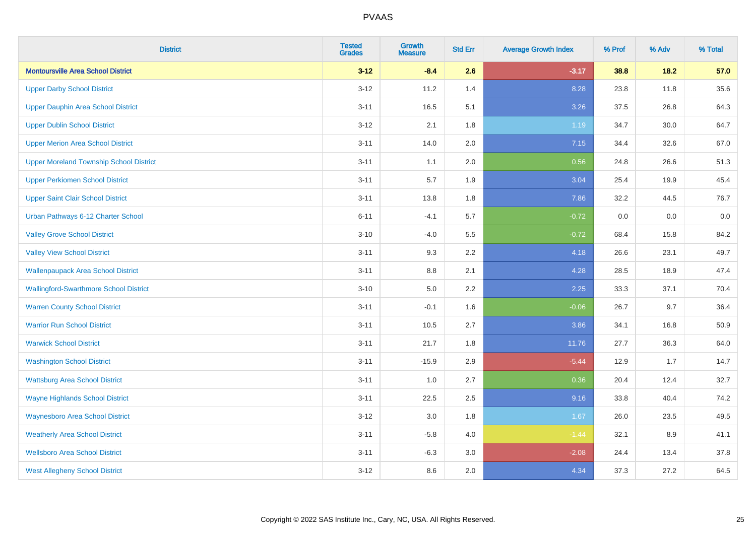| <b>District</b>                                | <b>Tested</b><br><b>Grades</b> | <b>Growth</b><br><b>Measure</b> | <b>Std Err</b> | <b>Average Growth Index</b> | % Prof | % Adv | % Total |
|------------------------------------------------|--------------------------------|---------------------------------|----------------|-----------------------------|--------|-------|---------|
| <b>Montoursville Area School District</b>      | $3 - 12$                       | $-8.4$                          | 2.6            | $-3.17$                     | 38.8   | 18.2  | 57.0    |
| <b>Upper Darby School District</b>             | $3 - 12$                       | 11.2                            | 1.4            | 8.28                        | 23.8   | 11.8  | 35.6    |
| <b>Upper Dauphin Area School District</b>      | $3 - 11$                       | 16.5                            | 5.1            | 3.26                        | 37.5   | 26.8  | 64.3    |
| <b>Upper Dublin School District</b>            | $3-12$                         | 2.1                             | 1.8            | 1.19                        | 34.7   | 30.0  | 64.7    |
| <b>Upper Merion Area School District</b>       | $3 - 11$                       | 14.0                            | 2.0            | 7.15                        | 34.4   | 32.6  | 67.0    |
| <b>Upper Moreland Township School District</b> | $3 - 11$                       | 1.1                             | 2.0            | 0.56                        | 24.8   | 26.6  | 51.3    |
| <b>Upper Perkiomen School District</b>         | $3 - 11$                       | 5.7                             | 1.9            | 3.04                        | 25.4   | 19.9  | 45.4    |
| <b>Upper Saint Clair School District</b>       | $3 - 11$                       | 13.8                            | 1.8            | 7.86                        | 32.2   | 44.5  | 76.7    |
| Urban Pathways 6-12 Charter School             | $6 - 11$                       | $-4.1$                          | 5.7            | $-0.72$                     | 0.0    | 0.0   | $0.0\,$ |
| <b>Valley Grove School District</b>            | $3 - 10$                       | $-4.0$                          | 5.5            | $-0.72$                     | 68.4   | 15.8  | 84.2    |
| <b>Valley View School District</b>             | $3 - 11$                       | 9.3                             | 2.2            | 4.18                        | 26.6   | 23.1  | 49.7    |
| <b>Wallenpaupack Area School District</b>      | $3 - 11$                       | 8.8                             | 2.1            | 4.28                        | 28.5   | 18.9  | 47.4    |
| <b>Wallingford-Swarthmore School District</b>  | $3 - 10$                       | $5.0\,$                         | 2.2            | 2.25                        | 33.3   | 37.1  | 70.4    |
| <b>Warren County School District</b>           | $3 - 11$                       | $-0.1$                          | 1.6            | $-0.06$                     | 26.7   | 9.7   | 36.4    |
| <b>Warrior Run School District</b>             | $3 - 11$                       | 10.5                            | 2.7            | 3.86                        | 34.1   | 16.8  | 50.9    |
| <b>Warwick School District</b>                 | $3 - 11$                       | 21.7                            | 1.8            | 11.76                       | 27.7   | 36.3  | 64.0    |
| <b>Washington School District</b>              | $3 - 11$                       | $-15.9$                         | 2.9            | $-5.44$                     | 12.9   | 1.7   | 14.7    |
| <b>Wattsburg Area School District</b>          | $3 - 11$                       | 1.0                             | 2.7            | 0.36                        | 20.4   | 12.4  | 32.7    |
| <b>Wayne Highlands School District</b>         | $3 - 11$                       | 22.5                            | 2.5            | 9.16                        | 33.8   | 40.4  | 74.2    |
| <b>Waynesboro Area School District</b>         | $3 - 12$                       | 3.0                             | 1.8            | 1.67                        | 26.0   | 23.5  | 49.5    |
| <b>Weatherly Area School District</b>          | $3 - 11$                       | $-5.8$                          | 4.0            | $-1.44$                     | 32.1   | 8.9   | 41.1    |
| <b>Wellsboro Area School District</b>          | $3 - 11$                       | $-6.3$                          | 3.0            | $-2.08$                     | 24.4   | 13.4  | 37.8    |
| <b>West Allegheny School District</b>          | $3 - 12$                       | 8.6                             | 2.0            | 4.34                        | 37.3   | 27.2  | 64.5    |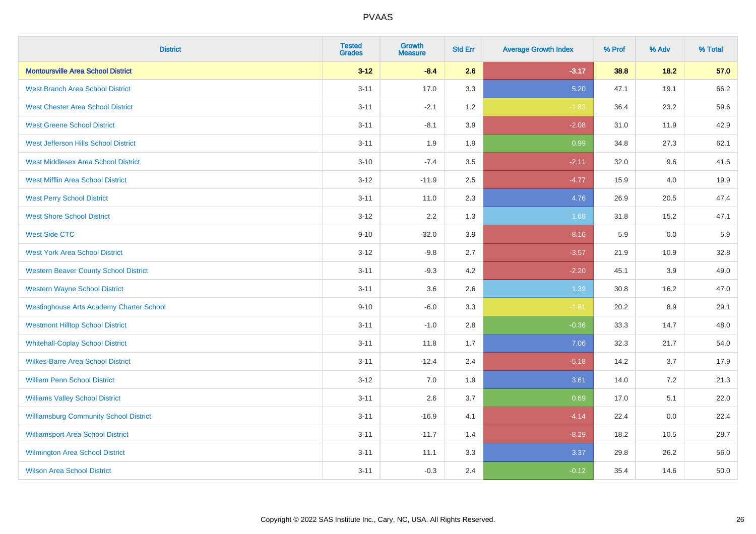| <b>District</b>                                 | <b>Tested</b><br><b>Grades</b> | <b>Growth</b><br><b>Measure</b> | <b>Std Err</b> | <b>Average Growth Index</b> | % Prof | % Adv  | % Total |
|-------------------------------------------------|--------------------------------|---------------------------------|----------------|-----------------------------|--------|--------|---------|
| <b>Montoursville Area School District</b>       | $3 - 12$                       | $-8.4$                          | 2.6            | $-3.17$                     | 38.8   | $18.2$ | 57.0    |
| <b>West Branch Area School District</b>         | $3 - 11$                       | 17.0                            | 3.3            | 5.20                        | 47.1   | 19.1   | 66.2    |
| <b>West Chester Area School District</b>        | $3 - 11$                       | $-2.1$                          | 1.2            | $-1.83$                     | 36.4   | 23.2   | 59.6    |
| <b>West Greene School District</b>              | $3 - 11$                       | $-8.1$                          | 3.9            | $-2.08$                     | 31.0   | 11.9   | 42.9    |
| West Jefferson Hills School District            | $3 - 11$                       | 1.9                             | 1.9            | 0.99                        | 34.8   | 27.3   | 62.1    |
| <b>West Middlesex Area School District</b>      | $3 - 10$                       | $-7.4$                          | 3.5            | $-2.11$                     | 32.0   | 9.6    | 41.6    |
| <b>West Mifflin Area School District</b>        | $3 - 12$                       | $-11.9$                         | 2.5            | $-4.77$                     | 15.9   | 4.0    | 19.9    |
| <b>West Perry School District</b>               | $3 - 11$                       | 11.0                            | 2.3            | 4.76                        | 26.9   | 20.5   | 47.4    |
| <b>West Shore School District</b>               | $3 - 12$                       | 2.2                             | 1.3            | 1.68                        | 31.8   | 15.2   | 47.1    |
| <b>West Side CTC</b>                            | $9 - 10$                       | $-32.0$                         | 3.9            | $-8.16$                     | 5.9    | 0.0    | 5.9     |
| <b>West York Area School District</b>           | $3 - 12$                       | $-9.8$                          | 2.7            | $-3.57$                     | 21.9   | 10.9   | 32.8    |
| <b>Western Beaver County School District</b>    | $3 - 11$                       | $-9.3$                          | 4.2            | $-2.20$                     | 45.1   | 3.9    | 49.0    |
| <b>Western Wayne School District</b>            | $3 - 11$                       | 3.6                             | 2.6            | 1.39                        | 30.8   | 16.2   | 47.0    |
| <b>Westinghouse Arts Academy Charter School</b> | $9 - 10$                       | $-6.0$                          | 3.3            | $-1.81$                     | 20.2   | 8.9    | 29.1    |
| <b>Westmont Hilltop School District</b>         | $3 - 11$                       | $-1.0$                          | 2.8            | $-0.36$                     | 33.3   | 14.7   | 48.0    |
| <b>Whitehall-Coplay School District</b>         | $3 - 11$                       | 11.8                            | 1.7            | 7.06                        | 32.3   | 21.7   | 54.0    |
| <b>Wilkes-Barre Area School District</b>        | $3 - 11$                       | $-12.4$                         | 2.4            | $-5.18$                     | 14.2   | 3.7    | 17.9    |
| <b>William Penn School District</b>             | $3 - 12$                       | 7.0                             | 1.9            | 3.61                        | 14.0   | 7.2    | 21.3    |
| <b>Williams Valley School District</b>          | $3 - 11$                       | 2.6                             | 3.7            | 0.69                        | 17.0   | 5.1    | 22.0    |
| <b>Williamsburg Community School District</b>   | $3 - 11$                       | $-16.9$                         | 4.1            | $-4.14$                     | 22.4   | 0.0    | 22.4    |
| <b>Williamsport Area School District</b>        | $3 - 11$                       | $-11.7$                         | 1.4            | $-8.29$                     | 18.2   | 10.5   | 28.7    |
| <b>Wilmington Area School District</b>          | $3 - 11$                       | 11.1                            | 3.3            | 3.37                        | 29.8   | 26.2   | 56.0    |
| <b>Wilson Area School District</b>              | $3 - 11$                       | $-0.3$                          | 2.4            | $-0.12$                     | 35.4   | 14.6   | 50.0    |